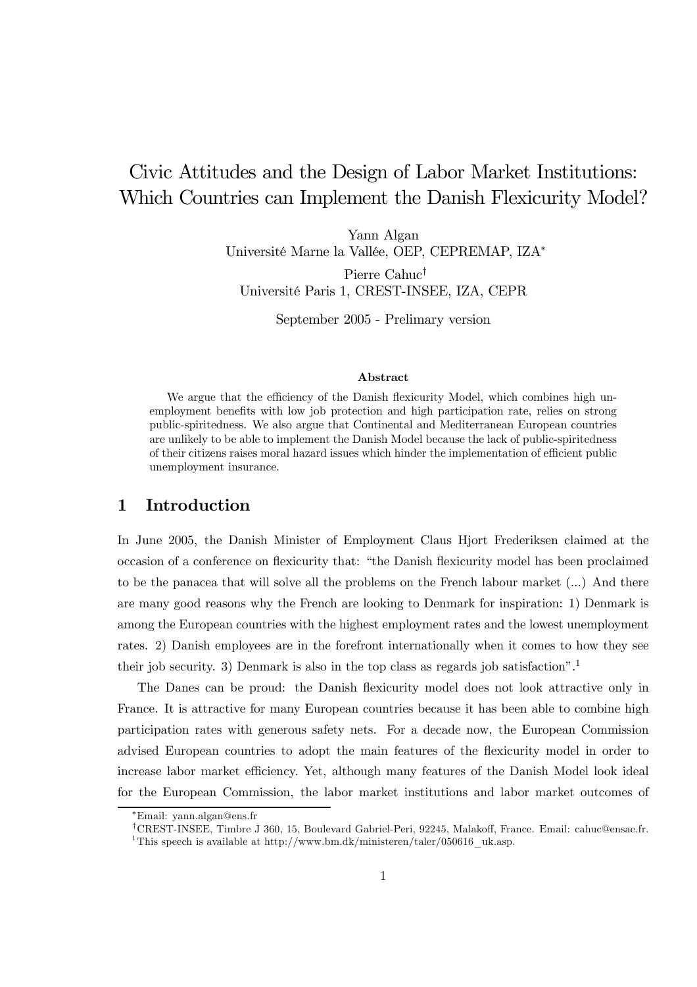# Civic Attitudes and the Design of Labor Market Institutions: Which Countries can Implement the Danish Flexicurity Model?

Yann Algan Université Marne la Vallée, OEP, CEPREMAP, IZA<sup>∗</sup>

Pierre Cahuc† Université Paris 1, CREST-INSEE, IZA, CEPR

September 2005 - Prelimary version

#### Abstract

We argue that the efficiency of the Danish flexicurity Model, which combines high unemployment benefits with low job protection and high participation rate, relies on strong public-spiritedness. We also argue that Continental and Mediterranean European countries are unlikely to be able to implement the Danish Model because the lack of public-spiritedness of their citizens raises moral hazard issues which hinder the implementation of efficient public unemployment insurance.

### 1 Introduction

In June 2005, the Danish Minister of Employment Claus Hjort Frederiksen claimed at the occasion of a conference on flexicurity that: "the Danish flexicurity model has been proclaimed to be the panacea that will solve all the problems on the French labour market (...) And there are many good reasons why the French are looking to Denmark for inspiration: 1) Denmark is among the European countries with the highest employment rates and the lowest unemployment rates. 2) Danish employees are in the forefront internationally when it comes to how they see their job security. 3) Denmark is also in the top class as regards job satisfaction".<sup>1</sup>

The Danes can be proud: the Danish flexicurity model does not look attractive only in France. It is attractive for many European countries because it has been able to combine high participation rates with generous safety nets. For a decade now, the European Commission advised European countries to adopt the main features of the flexicurity model in order to increase labor market efficiency. Yet, although many features of the Danish Model look ideal for the European Commission, the labor market institutions and labor market outcomes of

<sup>∗</sup>Email: yann.algan@ens.fr

<sup>†</sup>CREST-INSEE, Timbre J 360, 15, Boulevard Gabriel-Peri, 92245, Malakoff, France. Email: cahuc@ensae.fr. <sup>1</sup>This speech is available at http://www.bm.dk/ministeren/taler/050616\_uk.asp.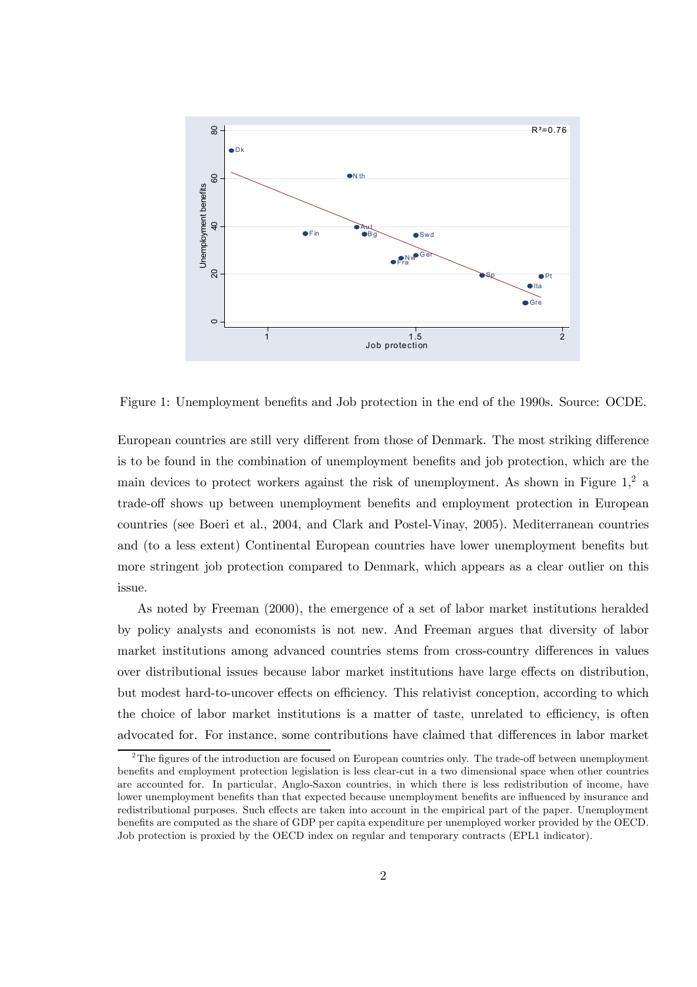

Figure 1: Unemployment benefits and Job protection in the end of the 1990s. Source: OCDE.

European countries are still very different from those of Denmark. The most striking difference is to be found in the combination of unemployment benefits and job protection, which are the main devices to protect workers against the risk of unemployment. As shown in Figure  $1<sup>2</sup>$  a trade-off shows up between unemployment benefits and employment protection in European countries (see Boeri et al., 2004, and Clark and Postel-Vinay, 2005). Mediterranean countries and (to a less extent) Continental European countries have lower unemployment benefits but more stringent job protection compared to Denmark, which appears as a clear outlier on this issue.

As noted by Freeman (2000), the emergence of a set of labor market institutions heralded by policy analysts and economists is not new. And Freeman argues that diversity of labor market institutions among advanced countries stems from cross-country differences in values over distributional issues because labor market institutions have large effects on distribution, but modest hard-to-uncover effects on efficiency. This relativist conception, according to which the choice of labor market institutions is a matter of taste, unrelated to efficiency, is often advocated for. For instance, some contributions have claimed that differences in labor market

 $2<sup>2</sup>$ The figures of the introduction are focused on European countries only. The trade-off between unemployment benefits and employment protection legislation is less clear-cut in a two dimensional space when other countries are accounted for. In particular, Anglo-Saxon countries, in which there is less redistribution of income, have lower unemployment benefits than that expected because unemployment benefits are influenced by insurance and redistributional purposes. Such effects are taken into account in the empirical part of the paper. Unemployment benefits are computed as the share of GDP per capita expenditure per unemployed worker provided by the OECD. Job protection is proxied by the OECD index on regular and temporary contracts (EPL1 indicator).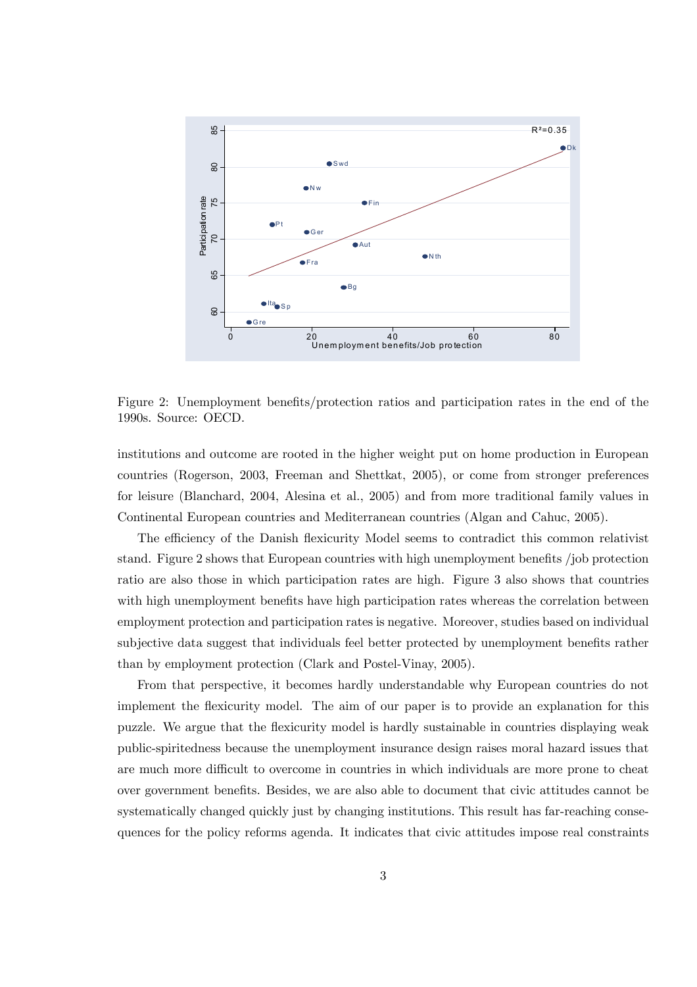

Figure 2: Unemployment benefits/protection ratios and participation rates in the end of the 1990s. Source: OECD.

institutions and outcome are rooted in the higher weight put on home production in European countries (Rogerson, 2003, Freeman and Shettkat, 2005), or come from stronger preferences for leisure (Blanchard, 2004, Alesina et al., 2005) and from more traditional family values in Continental European countries and Mediterranean countries (Algan and Cahuc, 2005).

The efficiency of the Danish flexicurity Model seems to contradict this common relativist stand. Figure 2 shows that European countries with high unemployment benefits /job protection ratio are also those in which participation rates are high. Figure 3 also shows that countries with high unemployment benefits have high participation rates whereas the correlation between employment protection and participation rates is negative. Moreover, studies based on individual subjective data suggest that individuals feel better protected by unemployment benefits rather than by employment protection (Clark and Postel-Vinay, 2005).

From that perspective, it becomes hardly understandable why European countries do not implement the flexicurity model. The aim of our paper is to provide an explanation for this puzzle. We argue that the flexicurity model is hardly sustainable in countries displaying weak public-spiritedness because the unemployment insurance design raises moral hazard issues that are much more difficult to overcome in countries in which individuals are more prone to cheat over government benefits. Besides, we are also able to document that civic attitudes cannot be systematically changed quickly just by changing institutions. This result has far-reaching consequences for the policy reforms agenda. It indicates that civic attitudes impose real constraints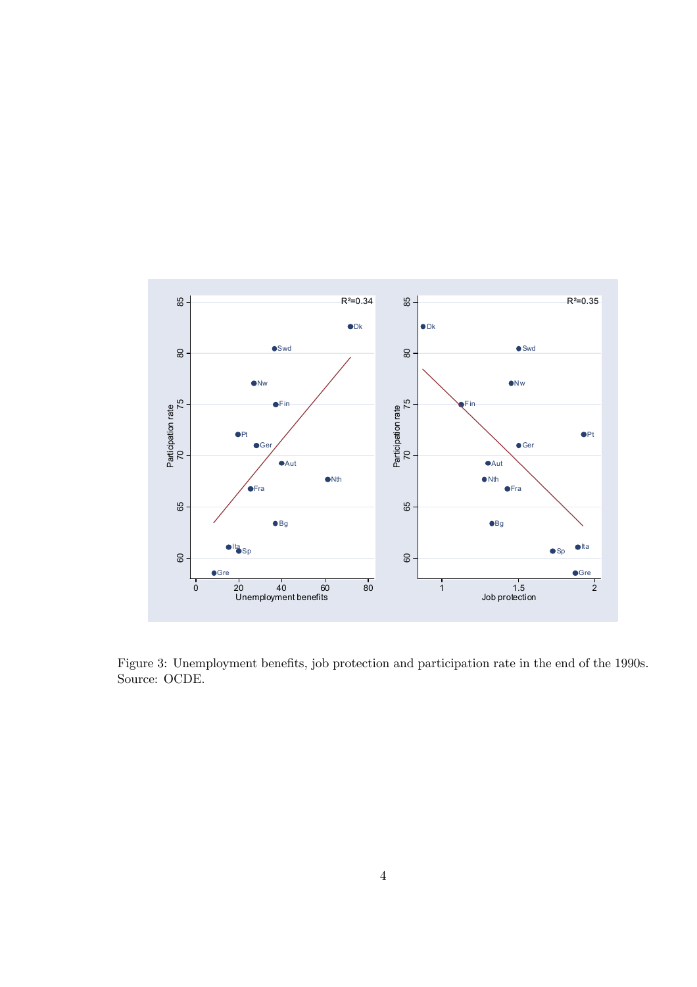

Figure 3: Unemployment benefits, job protection and participation rate in the end of the 1990s. Source: OCDE.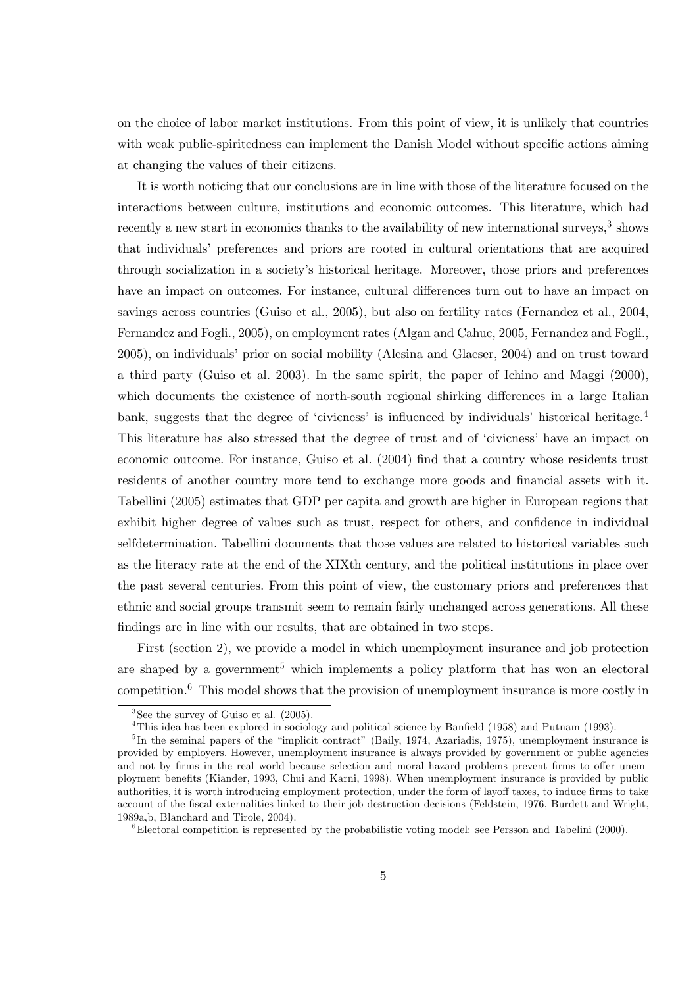on the choice of labor market institutions. From this point of view, it is unlikely that countries with weak public-spiritedness can implement the Danish Model without specific actions aiming at changing the values of their citizens.

It is worth noticing that our conclusions are in line with those of the literature focused on the interactions between culture, institutions and economic outcomes. This literature, which had recently a new start in economics thanks to the availability of new international surveys,<sup>3</sup> shows that individuals' preferences and priors are rooted in cultural orientations that are acquired through socialization in a society's historical heritage. Moreover, those priors and preferences have an impact on outcomes. For instance, cultural differences turn out to have an impact on savings across countries (Guiso et al., 2005), but also on fertility rates (Fernandez et al., 2004, Fernandez and Fogli., 2005), on employment rates (Algan and Cahuc, 2005, Fernandez and Fogli., 2005), on individuals' prior on social mobility (Alesina and Glaeser, 2004) and on trust toward a third party (Guiso et al. 2003). In the same spirit, the paper of Ichino and Maggi (2000), which documents the existence of north-south regional shirking differences in a large Italian bank, suggests that the degree of 'civicness' is influenced by individuals' historical heritage.4 This literature has also stressed that the degree of trust and of 'civicness' have an impact on economic outcome. For instance, Guiso et al. (2004) find that a country whose residents trust residents of another country more tend to exchange more goods and financial assets with it. Tabellini (2005) estimates that GDP per capita and growth are higher in European regions that exhibit higher degree of values such as trust, respect for others, and confidence in individual selfdetermination. Tabellini documents that those values are related to historical variables such as the literacy rate at the end of the XIXth century, and the political institutions in place over the past several centuries. From this point of view, the customary priors and preferences that ethnic and social groups transmit seem to remain fairly unchanged across generations. All these findings are in line with our results, that are obtained in two steps.

First (section 2), we provide a model in which unemployment insurance and job protection are shaped by a government<sup>5</sup> which implements a policy platform that has won an electoral competition.6 This model shows that the provision of unemployment insurance is more costly in

 $3$ See the survey of Guiso et al.  $(2005)$ .

<sup>4</sup>This idea has been explored in sociology and political science by Banfield (1958) and Putnam (1993).

 $5$ In the seminal papers of the "implicit contract" (Baily, 1974, Azariadis, 1975), unemployment insurance is provided by employers. However, unemployment insurance is always provided by government or public agencies and not by firms in the real world because selection and moral hazard problems prevent firms to offer unemployment benefits (Kiander, 1993, Chui and Karni, 1998). When unemployment insurance is provided by public authorities, it is worth introducing employment protection, under the form of layoff taxes, to induce firms to take account of the fiscal externalities linked to their job destruction decisions (Feldstein, 1976, Burdett and Wright, 1989a,b, Blanchard and Tirole, 2004).

 $6E$  Electoral competition is represented by the probabilistic voting model: see Persson and Tabelini (2000).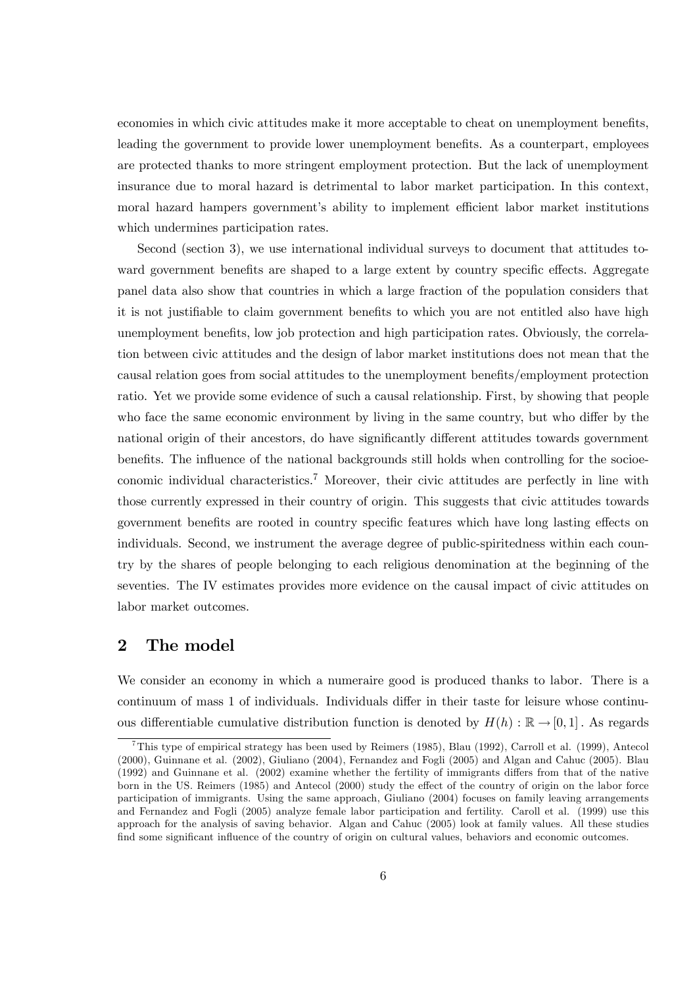economies in which civic attitudes make it more acceptable to cheat on unemployment benefits, leading the government to provide lower unemployment benefits. As a counterpart, employees are protected thanks to more stringent employment protection. But the lack of unemployment insurance due to moral hazard is detrimental to labor market participation. In this context, moral hazard hampers government's ability to implement efficient labor market institutions which undermines participation rates.

Second (section 3), we use international individual surveys to document that attitudes toward government benefits are shaped to a large extent by country specific effects. Aggregate panel data also show that countries in which a large fraction of the population considers that it is not justifiable to claim government benefits to which you are not entitled also have high unemployment benefits, low job protection and high participation rates. Obviously, the correlation between civic attitudes and the design of labor market institutions does not mean that the causal relation goes from social attitudes to the unemployment benefits/employment protection ratio. Yet we provide some evidence of such a causal relationship. First, by showing that people who face the same economic environment by living in the same country, but who differ by the national origin of their ancestors, do have significantly different attitudes towards government benefits. The influence of the national backgrounds still holds when controlling for the socioeconomic individual characteristics.7 Moreover, their civic attitudes are perfectly in line with those currently expressed in their country of origin. This suggests that civic attitudes towards government benefits are rooted in country specific features which have long lasting effects on individuals. Second, we instrument the average degree of public-spiritedness within each country by the shares of people belonging to each religious denomination at the beginning of the seventies. The IV estimates provides more evidence on the causal impact of civic attitudes on labor market outcomes.

## 2 The model

We consider an economy in which a numeraire good is produced thanks to labor. There is a continuum of mass 1 of individuals. Individuals differ in their taste for leisure whose continuous differentiable cumulative distribution function is denoted by  $H(h) : \mathbb{R} \to [0, 1]$ . As regards

<sup>&</sup>lt;sup>7</sup>This type of empirical strategy has been used by Reimers (1985), Blau (1992), Carroll et al. (1999), Antecol (2000), Guinnane et al. (2002), Giuliano (2004), Fernandez and Fogli (2005) and Algan and Cahuc (2005). Blau (1992) and Guinnane et al. (2002) examine whether the fertility of immigrants differs from that of the native born in the US. Reimers (1985) and Antecol (2000) study the effect of the country of origin on the labor force participation of immigrants. Using the same approach, Giuliano (2004) focuses on family leaving arrangements and Fernandez and Fogli (2005) analyze female labor participation and fertility. Caroll et al. (1999) use this approach for the analysis of saving behavior. Algan and Cahuc (2005) look at family values. All these studies find some significant influence of the country of origin on cultural values, behaviors and economic outcomes.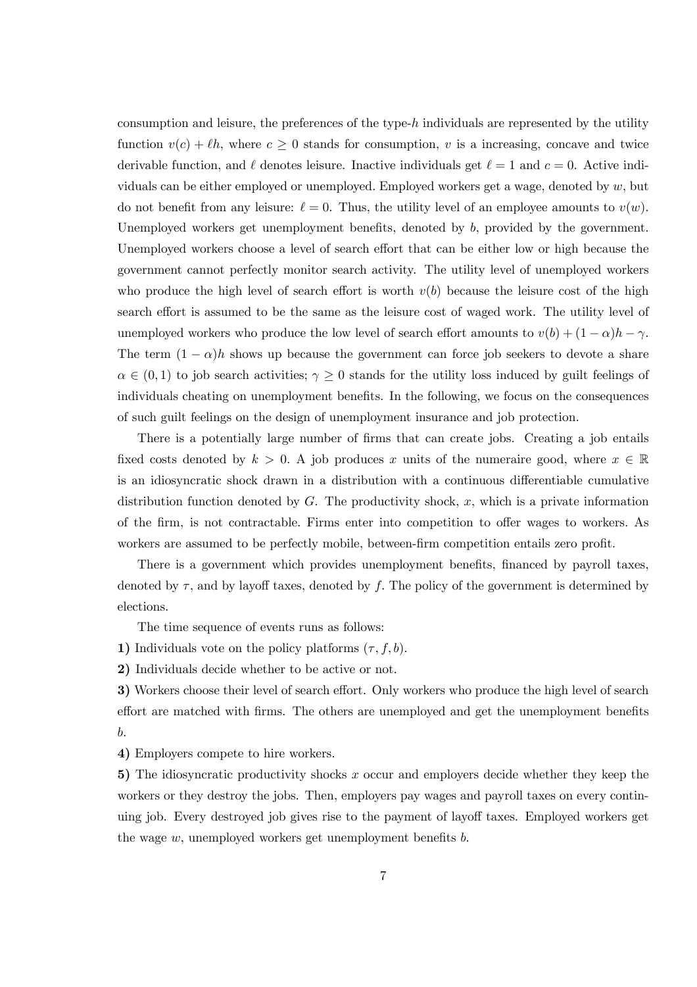consumption and leisure, the preferences of the type-h individuals are represented by the utility function  $v(c) + \ell h$ , where  $c \geq 0$  stands for consumption, v is a increasing, concave and twice derivable function, and  $\ell$  denotes leisure. Inactive individuals get  $\ell = 1$  and  $c = 0$ . Active individuals can be either employed or unemployed. Employed workers get a wage, denoted by  $w$ , but do not benefit from any leisure:  $\ell = 0$ . Thus, the utility level of an employee amounts to  $v(w)$ . Unemployed workers get unemployment benefits, denoted by b, provided by the government. Unemployed workers choose a level of search effort that can be either low or high because the government cannot perfectly monitor search activity. The utility level of unemployed workers who produce the high level of search effort is worth  $v(b)$  because the leisure cost of the high search effort is assumed to be the same as the leisure cost of waged work. The utility level of unemployed workers who produce the low level of search effort amounts to  $v(b) + (1 - \alpha)h - \gamma$ . The term  $(1 - \alpha)h$  shows up because the government can force job seekers to devote a share  $\alpha \in (0,1)$  to job search activities;  $\gamma \geq 0$  stands for the utility loss induced by guilt feelings of individuals cheating on unemployment benefits. In the following, we focus on the consequences of such guilt feelings on the design of unemployment insurance and job protection.

There is a potentially large number of firms that can create jobs. Creating a job entails fixed costs denoted by  $k > 0$ . A job produces x units of the numeraire good, where  $x \in \mathbb{R}$ is an idiosyncratic shock drawn in a distribution with a continuous differentiable cumulative distribution function denoted by  $G$ . The productivity shock, x, which is a private information of the firm, is not contractable. Firms enter into competition to offer wages to workers. As workers are assumed to be perfectly mobile, between-firm competition entails zero profit.

There is a government which provides unemployment benefits, financed by payroll taxes, denoted by  $\tau$ , and by layoff taxes, denoted by f. The policy of the government is determined by elections.

The time sequence of events runs as follows:

1) Individuals vote on the policy platforms  $(\tau, f, b)$ .

2) Individuals decide whether to be active or not.

3) Workers choose their level of search effort. Only workers who produce the high level of search effort are matched with firms. The others are unemployed and get the unemployment benefits b.

4) Employers compete to hire workers.

5) The idiosyncratic productivity shocks x occur and employers decide whether they keep the workers or they destroy the jobs. Then, employers pay wages and payroll taxes on every continuing job. Every destroyed job gives rise to the payment of layoff taxes. Employed workers get the wage  $w$ , unemployed workers get unemployment benefits  $b$ .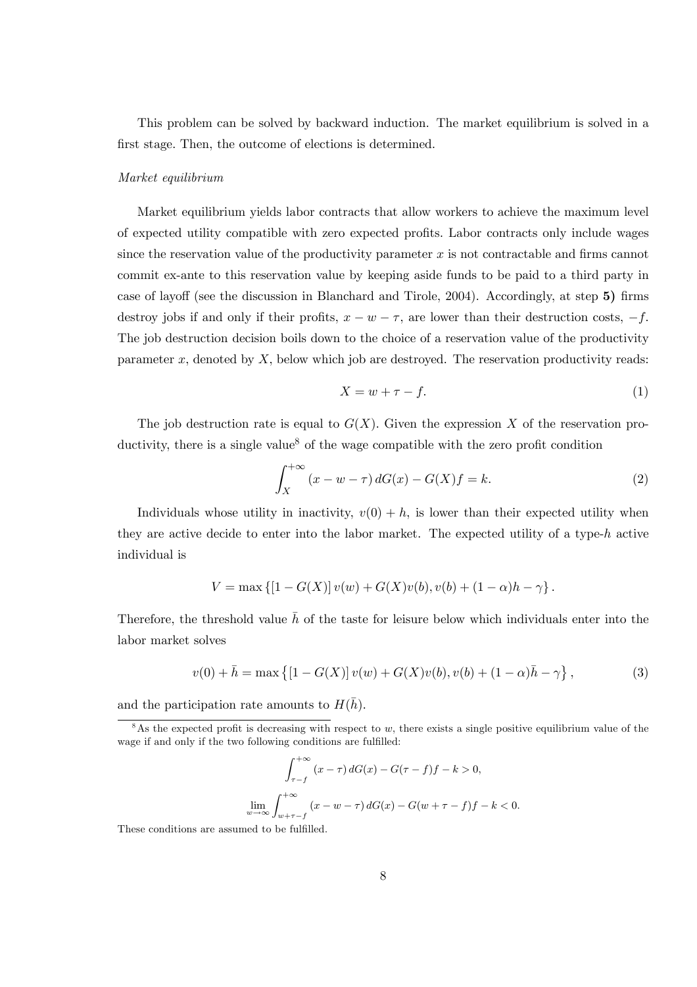This problem can be solved by backward induction. The market equilibrium is solved in a first stage. Then, the outcome of elections is determined.

#### Market equilibrium

Market equilibrium yields labor contracts that allow workers to achieve the maximum level of expected utility compatible with zero expected profits. Labor contracts only include wages since the reservation value of the productivity parameter  $x$  is not contractable and firms cannot commit ex-ante to this reservation value by keeping aside funds to be paid to a third party in case of layoff (see the discussion in Blanchard and Tirole, 2004). Accordingly, at step 5) firms destroy jobs if and only if their profits,  $x - w - \tau$ , are lower than their destruction costs,  $-f$ . The job destruction decision boils down to the choice of a reservation value of the productivity parameter  $x$ , denoted by  $X$ , below which job are destroyed. The reservation productivity reads:

$$
X = w + \tau - f. \tag{1}
$$

The job destruction rate is equal to  $G(X)$ . Given the expression X of the reservation productivity, there is a single value<sup>8</sup> of the wage compatible with the zero profit condition

$$
\int_{X}^{+\infty} (x - w - \tau) dG(x) - G(X)f = k.
$$
 (2)

Individuals whose utility in inactivity,  $v(0) + h$ , is lower than their expected utility when they are active decide to enter into the labor market. The expected utility of a type-h active individual is

$$
V = \max \{ [1 - G(X)] v(w) + G(X)v(b), v(b) + (1 - \alpha)h - \gamma \}.
$$

Therefore, the threshold value  $\bar{h}$  of the taste for leisure below which individuals enter into the labor market solves

$$
v(0) + \bar{h} = \max\left\{ [1 - G(X)] v(w) + G(X)v(b), v(b) + (1 - \alpha)\bar{h} - \gamma \right\},\tag{3}
$$

and the participation rate amounts to  $H(\bar{h})$ .

$$
\int_{\tau-f}^{+\infty} (x-\tau) dG(x) - G(\tau-f)f - k > 0,
$$
  

$$
\lim_{w \to \infty} \int_{w+\tau-f}^{+\infty} (x - w - \tau) dG(x) - G(w + \tau - f)f - k < 0.
$$

These conditions are assumed to be fulfilled.

<sup>&</sup>lt;sup>8</sup>As the expected profit is decreasing with respect to w, there exists a single positive equilibrium value of the wage if and only if the two following conditions are fulfilled: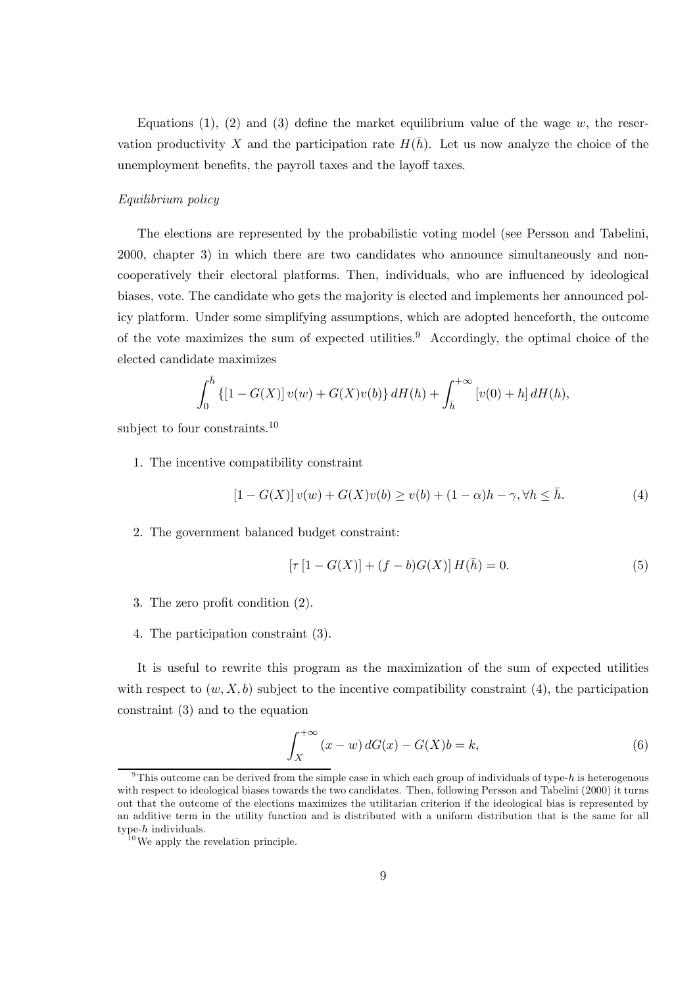Equations (1), (2) and (3) define the market equilibrium value of the wage w, the reservation productivity X and the participation rate  $H(\bar{h})$ . Let us now analyze the choice of the unemployment benefits, the payroll taxes and the layoff taxes.

#### Equilibrium policy

The elections are represented by the probabilistic voting model (see Persson and Tabelini, 2000, chapter 3) in which there are two candidates who announce simultaneously and noncooperatively their electoral platforms. Then, individuals, who are influenced by ideological biases, vote. The candidate who gets the majority is elected and implements her announced policy platform. Under some simplifying assumptions, which are adopted henceforth, the outcome of the vote maximizes the sum of expected utilities.<sup>9</sup> Accordingly, the optimal choice of the elected candidate maximizes

$$
\int_0^{\bar{h}} \left\{ [1 - G(X)] v(w) + G(X)v(b) \right\} dH(h) + \int_{\bar{h}}^{+\infty} \left[ v(0) + h \right] dH(h),
$$

subject to four constraints.<sup>10</sup>

1. The incentive compatibility constraint

$$
[1 - G(X)]v(w) + G(X)v(b) \ge v(b) + (1 - \alpha)h - \gamma, \forall h \le \bar{h}.
$$
 (4)

2. The government balanced budget constraint:

$$
[\tau [1 - G(X)] + (f - b)G(X)] H(\bar{h}) = 0.
$$
 (5)

- 3. The zero profit condition (2).
- 4. The participation constraint (3).

It is useful to rewrite this program as the maximization of the sum of expected utilities with respect to  $(w, X, b)$  subject to the incentive compatibility constraint (4), the participation constraint (3) and to the equation

$$
\int_{X}^{+\infty} (x - w) dG(x) - G(X)b = k,
$$
\n(6)

<sup>&</sup>lt;sup>9</sup>This outcome can be derived from the simple case in which each group of individuals of type-h is heterogenous with respect to ideological biases towards the two candidates. Then, following Persson and Tabelini (2000) it turns out that the outcome of the elections maximizes the utilitarian criterion if the ideological bias is represented by an additive term in the utility function and is distributed with a uniform distribution that is the same for all type-h individuals.

 $10$  We apply the revelation principle.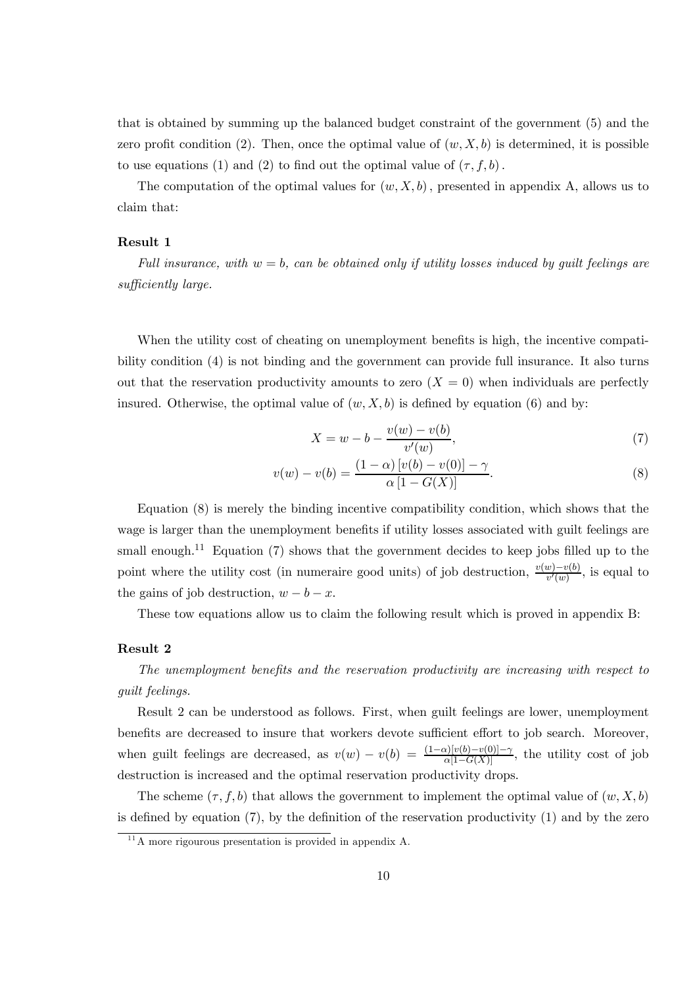that is obtained by summing up the balanced budget constraint of the government (5) and the zero profit condition (2). Then, once the optimal value of  $(w, X, b)$  is determined, it is possible to use equations (1) and (2) to find out the optimal value of  $(\tau, f, b)$ .

The computation of the optimal values for  $(w, X, b)$ , presented in appendix A, allows us to claim that:

#### Result 1

Full insurance, with  $w = b$ , can be obtained only if utility losses induced by quilt feelings are sufficiently large.

When the utility cost of cheating on unemployment benefits is high, the incentive compatibility condition (4) is not binding and the government can provide full insurance. It also turns out that the reservation productivity amounts to zero  $(X = 0)$  when individuals are perfectly insured. Otherwise, the optimal value of  $(w, X, b)$  is defined by equation (6) and by:

$$
X = w - b - \frac{v(w) - v(b)}{v'(w)},
$$
\n(7)

$$
v(w) - v(b) = \frac{(1 - \alpha) [v(b) - v(0)] - \gamma}{\alpha [1 - G(X)]}.
$$
\n(8)

Equation (8) is merely the binding incentive compatibility condition, which shows that the wage is larger than the unemployment benefits if utility losses associated with guilt feelings are small enough.<sup>11</sup> Equation (7) shows that the government decides to keep jobs filled up to the point where the utility cost (in numeraire good units) of job destruction,  $\frac{v(w)-v(b)}{v'(w)}$ , is equal to the gains of job destruction,  $w - b - x$ .

These tow equations allow us to claim the following result which is proved in appendix B:

#### Result 2

The unemployment benefits and the reservation productivity are increasing with respect to guilt feelings.

Result 2 can be understood as follows. First, when guilt feelings are lower, unemployment benefits are decreased to insure that workers devote sufficient effort to job search. Moreover, when guilt feelings are decreased, as  $v(w) - v(b) = \frac{(1-\alpha)[v(b)-v(0)]-\gamma}{\alpha[1-G(X)]}$ , the utility cost of job destruction is increased and the optimal reservation productivity drops.

The scheme  $(\tau, f, b)$  that allows the government to implement the optimal value of  $(w, X, b)$ is defined by equation (7), by the definition of the reservation productivity (1) and by the zero

 $11$ <sup>1</sup>A more rigourous presentation is provided in appendix A.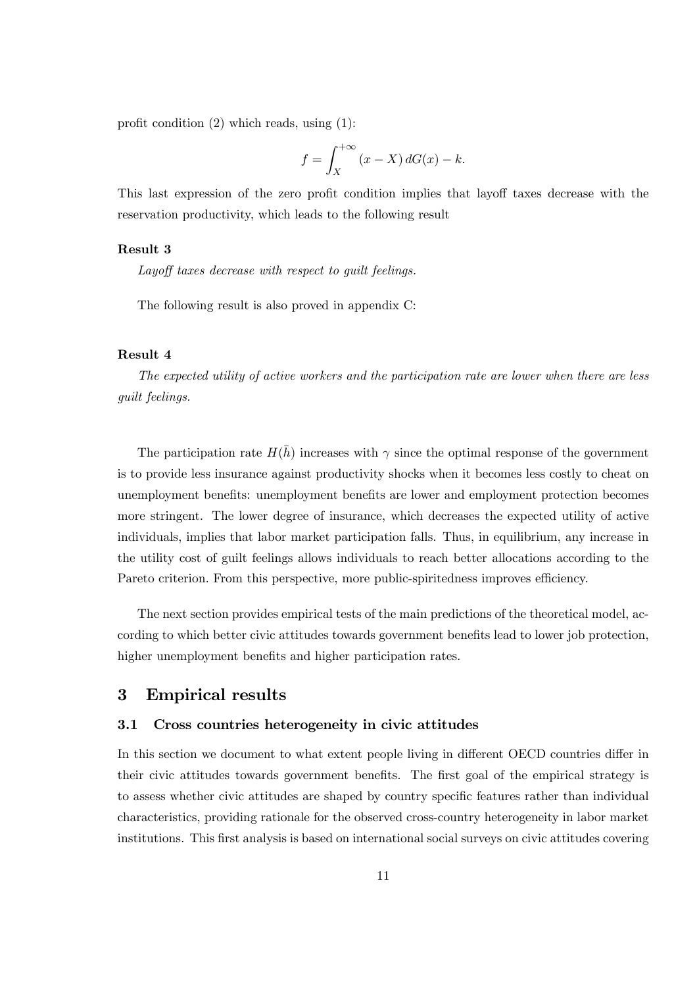profit condition (2) which reads, using (1):

$$
f = \int_X^{+\infty} (x - X) dG(x) - k.
$$

This last expression of the zero profit condition implies that layoff taxes decrease with the reservation productivity, which leads to the following result

### Result 3

Layoff taxes decrease with respect to guilt feelings.

The following result is also proved in appendix C:

#### Result 4

The expected utility of active workers and the participation rate are lower when there are less guilt feelings.

The participation rate  $H(\bar{h})$  increases with  $\gamma$  since the optimal response of the government is to provide less insurance against productivity shocks when it becomes less costly to cheat on unemployment benefits: unemployment benefits are lower and employment protection becomes more stringent. The lower degree of insurance, which decreases the expected utility of active individuals, implies that labor market participation falls. Thus, in equilibrium, any increase in the utility cost of guilt feelings allows individuals to reach better allocations according to the Pareto criterion. From this perspective, more public-spiritedness improves efficiency.

The next section provides empirical tests of the main predictions of the theoretical model, according to which better civic attitudes towards government benefits lead to lower job protection, higher unemployment benefits and higher participation rates.

## 3 Empirical results

### 3.1 Cross countries heterogeneity in civic attitudes

In this section we document to what extent people living in different OECD countries differ in their civic attitudes towards government benefits. The first goal of the empirical strategy is to assess whether civic attitudes are shaped by country specific features rather than individual characteristics, providing rationale for the observed cross-country heterogeneity in labor market institutions. This first analysis is based on international social surveys on civic attitudes covering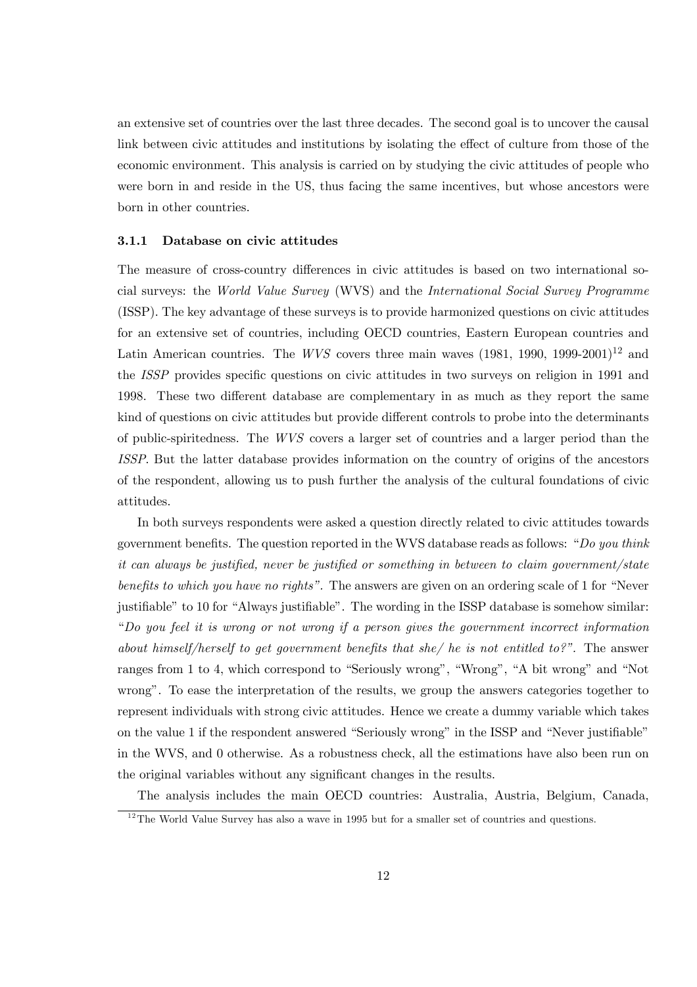an extensive set of countries over the last three decades. The second goal is to uncover the causal link between civic attitudes and institutions by isolating the effect of culture from those of the economic environment. This analysis is carried on by studying the civic attitudes of people who were born in and reside in the US, thus facing the same incentives, but whose ancestors were born in other countries.

#### 3.1.1 Database on civic attitudes

The measure of cross-country differences in civic attitudes is based on two international social surveys: the World Value Survey (WVS) and the International Social Survey Programme (ISSP). The key advantage of these surveys is to provide harmonized questions on civic attitudes for an extensive set of countries, including OECD countries, Eastern European countries and Latin American countries. The WVS covers three main waves  $(1981, 1990, 1999-2001)^{12}$  and the ISSP provides specific questions on civic attitudes in two surveys on religion in 1991 and 1998. These two different database are complementary in as much as they report the same kind of questions on civic attitudes but provide different controls to probe into the determinants of public-spiritedness. The WVS covers a larger set of countries and a larger period than the ISSP. But the latter database provides information on the country of origins of the ancestors of the respondent, allowing us to push further the analysis of the cultural foundations of civic attitudes.

In both surveys respondents were asked a question directly related to civic attitudes towards government benefits. The question reported in the WVS database reads as follows: "Do you think it can always be justified, never be justified or something in between to claim government/state benefits to which you have no rights". The answers are given on an ordering scale of 1 for "Never justifiable" to 10 for "Always justifiable". The wording in the ISSP database is somehow similar: "Do you feel it is wrong or not wrong if a person gives the government incorrect information about himself/herself to get government benefits that she/ he is not entitled to?". The answer ranges from 1 to 4, which correspond to "Seriously wrong", "Wrong", "A bit wrong" and "Not wrong". To ease the interpretation of the results, we group the answers categories together to represent individuals with strong civic attitudes. Hence we create a dummy variable which takes on the value 1 if the respondent answered "Seriously wrong" in the ISSP and "Never justifiable" in the WVS, and 0 otherwise. As a robustness check, all the estimations have also been run on the original variables without any significant changes in the results.

The analysis includes the main OECD countries: Australia, Austria, Belgium, Canada,

 $12$ The World Value Survey has also a wave in 1995 but for a smaller set of countries and questions.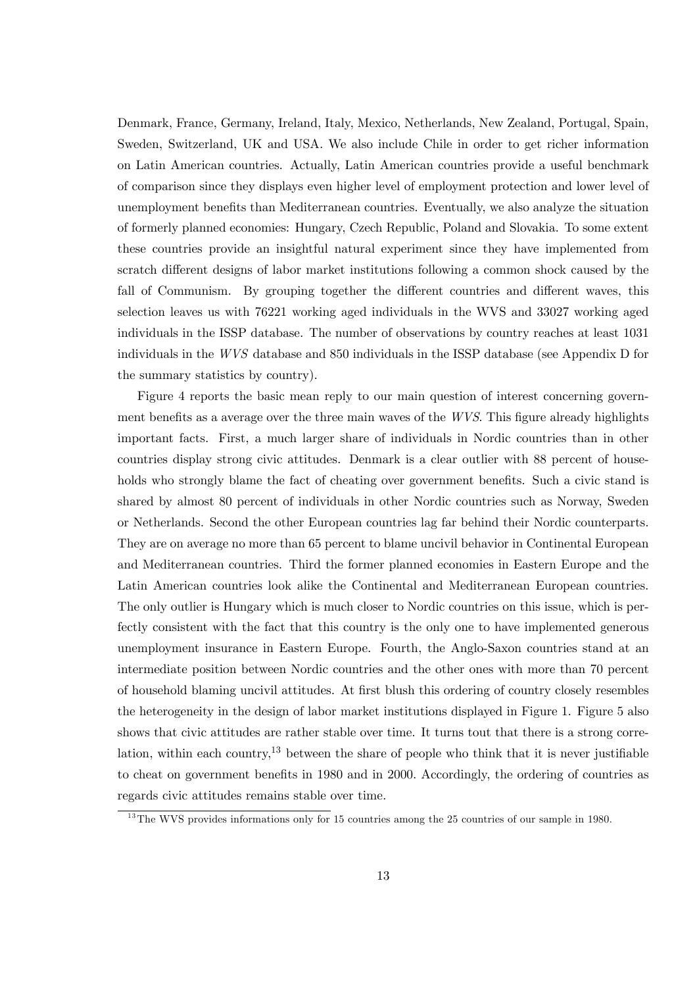Denmark, France, Germany, Ireland, Italy, Mexico, Netherlands, New Zealand, Portugal, Spain, Sweden, Switzerland, UK and USA. We also include Chile in order to get richer information on Latin American countries. Actually, Latin American countries provide a useful benchmark of comparison since they displays even higher level of employment protection and lower level of unemployment benefits than Mediterranean countries. Eventually, we also analyze the situation of formerly planned economies: Hungary, Czech Republic, Poland and Slovakia. To some extent these countries provide an insightful natural experiment since they have implemented from scratch different designs of labor market institutions following a common shock caused by the fall of Communism. By grouping together the different countries and different waves, this selection leaves us with 76221 working aged individuals in the WVS and 33027 working aged individuals in the ISSP database. The number of observations by country reaches at least 1031 individuals in the WVS database and 850 individuals in the ISSP database (see Appendix D for the summary statistics by country).

Figure 4 reports the basic mean reply to our main question of interest concerning government benefits as a average over the three main waves of the WVS. This figure already highlights important facts. First, a much larger share of individuals in Nordic countries than in other countries display strong civic attitudes. Denmark is a clear outlier with 88 percent of households who strongly blame the fact of cheating over government benefits. Such a civic stand is shared by almost 80 percent of individuals in other Nordic countries such as Norway, Sweden or Netherlands. Second the other European countries lag far behind their Nordic counterparts. They are on average no more than 65 percent to blame uncivil behavior in Continental European and Mediterranean countries. Third the former planned economies in Eastern Europe and the Latin American countries look alike the Continental and Mediterranean European countries. The only outlier is Hungary which is much closer to Nordic countries on this issue, which is perfectly consistent with the fact that this country is the only one to have implemented generous unemployment insurance in Eastern Europe. Fourth, the Anglo-Saxon countries stand at an intermediate position between Nordic countries and the other ones with more than 70 percent of household blaming uncivil attitudes. At first blush this ordering of country closely resembles the heterogeneity in the design of labor market institutions displayed in Figure 1. Figure 5 also shows that civic attitudes are rather stable over time. It turns tout that there is a strong correlation, within each country,<sup>13</sup> between the share of people who think that it is never justifiable to cheat on government benefits in 1980 and in 2000. Accordingly, the ordering of countries as regards civic attitudes remains stable over time.

 $13$ The WVS provides informations only for 15 countries among the 25 countries of our sample in 1980.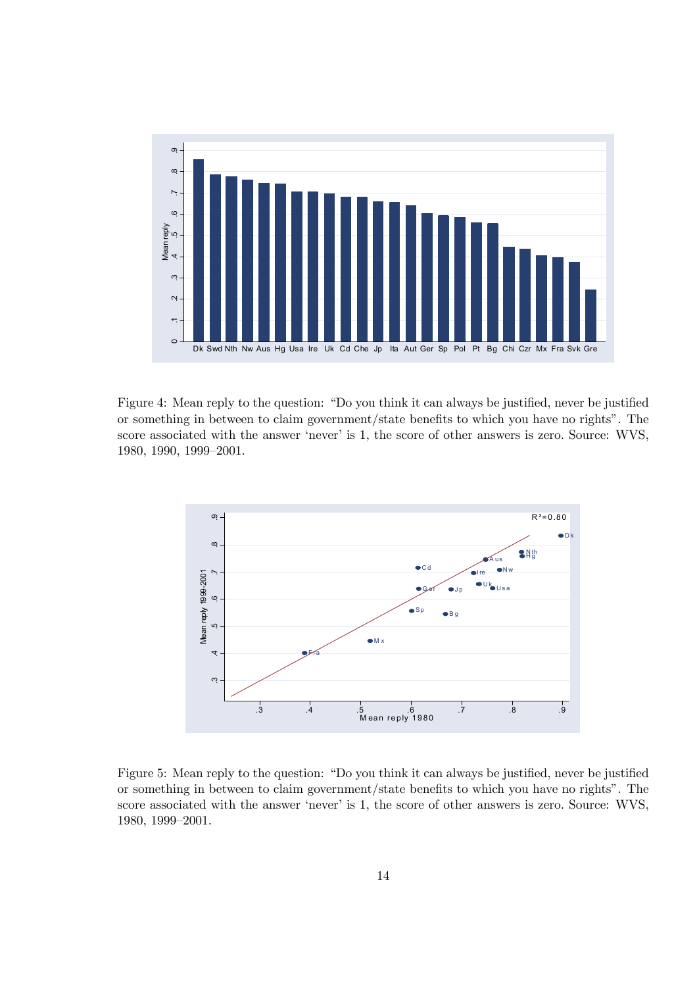

Figure 4: Mean reply to the question: "Do you think it can always be justified, never be justified or something in between to claim government/state benefits to which you have no rights". The score associated with the answer 'never' is 1, the score of other answers is zero. Source: WVS, 1980, 1990, 1999—2001.



Figure 5: Mean reply to the question: "Do you think it can always be justified, never be justified or something in between to claim government/state benefits to which you have no rights". The score associated with the answer 'never' is 1, the score of other answers is zero. Source: WVS, 1980, 1999—2001.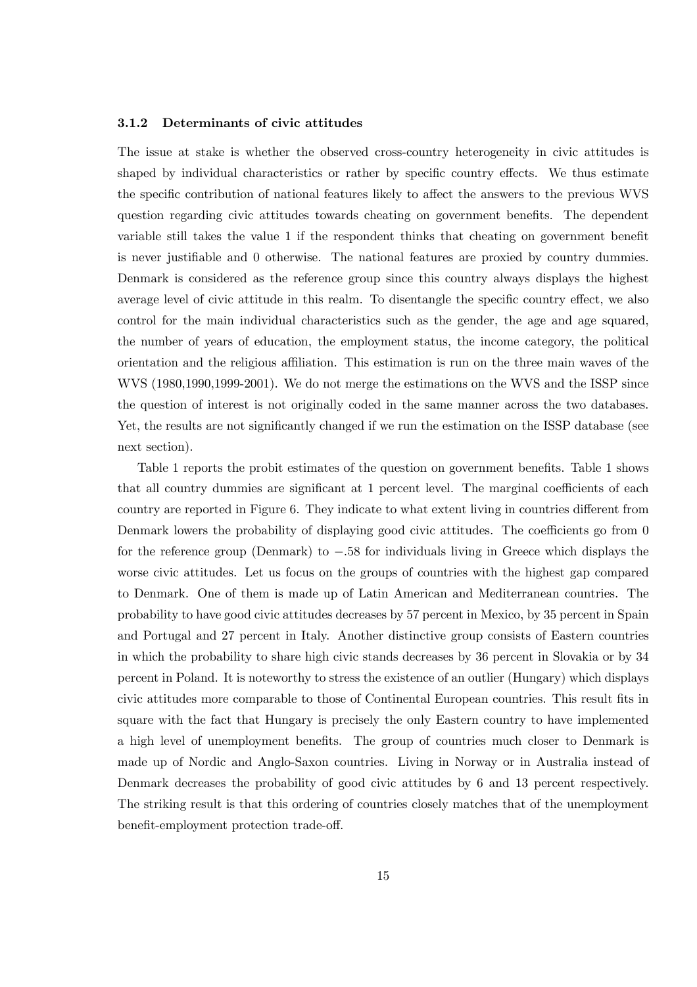#### 3.1.2 Determinants of civic attitudes

The issue at stake is whether the observed cross-country heterogeneity in civic attitudes is shaped by individual characteristics or rather by specific country effects. We thus estimate the specific contribution of national features likely to affect the answers to the previous WVS question regarding civic attitudes towards cheating on government benefits. The dependent variable still takes the value 1 if the respondent thinks that cheating on government benefit is never justifiable and 0 otherwise. The national features are proxied by country dummies. Denmark is considered as the reference group since this country always displays the highest average level of civic attitude in this realm. To disentangle the specific country effect, we also control for the main individual characteristics such as the gender, the age and age squared, the number of years of education, the employment status, the income category, the political orientation and the religious affiliation. This estimation is run on the three main waves of the WVS (1980,1990,1999-2001). We do not merge the estimations on the WVS and the ISSP since the question of interest is not originally coded in the same manner across the two databases. Yet, the results are not significantly changed if we run the estimation on the ISSP database (see next section).

Table 1 reports the probit estimates of the question on government benefits. Table 1 shows that all country dummies are significant at 1 percent level. The marginal coefficients of each country are reported in Figure 6. They indicate to what extent living in countries different from Denmark lowers the probability of displaying good civic attitudes. The coefficients go from 0 for the reference group (Denmark) to −.58 for individuals living in Greece which displays the worse civic attitudes. Let us focus on the groups of countries with the highest gap compared to Denmark. One of them is made up of Latin American and Mediterranean countries. The probability to have good civic attitudes decreases by 57 percent in Mexico, by 35 percent in Spain and Portugal and 27 percent in Italy. Another distinctive group consists of Eastern countries in which the probability to share high civic stands decreases by 36 percent in Slovakia or by 34 percent in Poland. It is noteworthy to stress the existence of an outlier (Hungary) which displays civic attitudes more comparable to those of Continental European countries. This result fits in square with the fact that Hungary is precisely the only Eastern country to have implemented a high level of unemployment benefits. The group of countries much closer to Denmark is made up of Nordic and Anglo-Saxon countries. Living in Norway or in Australia instead of Denmark decreases the probability of good civic attitudes by 6 and 13 percent respectively. The striking result is that this ordering of countries closely matches that of the unemployment benefit-employment protection trade-off.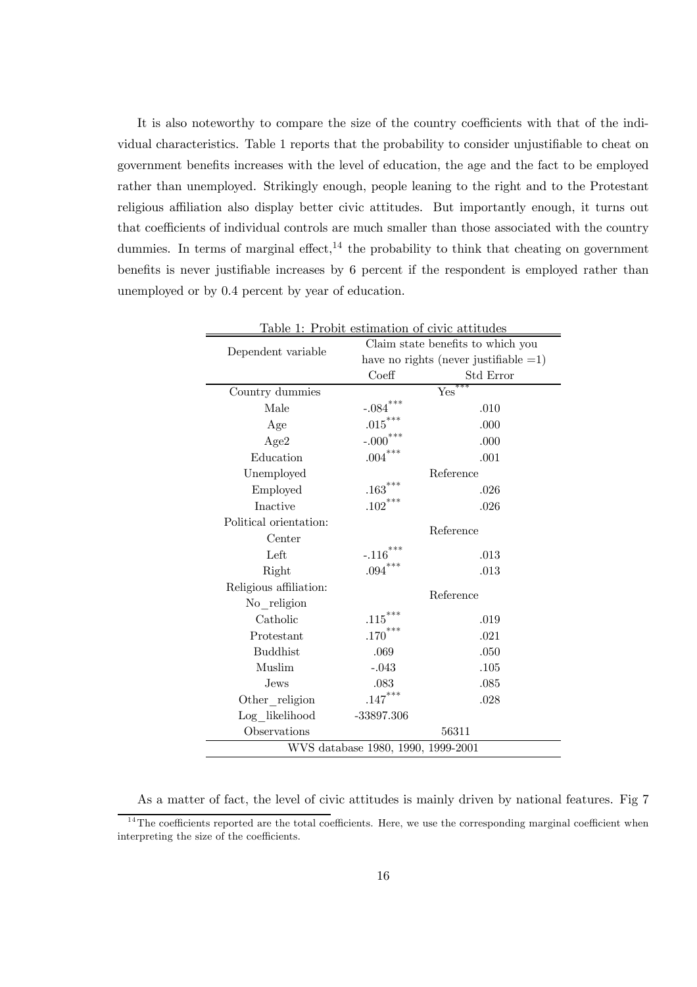It is also noteworthy to compare the size of the country coefficients with that of the individual characteristics. Table 1 reports that the probability to consider unjustifiable to cheat on government benefits increases with the level of education, the age and the fact to be employed rather than unemployed. Strikingly enough, people leaning to the right and to the Protestant religious affiliation also display better civic attitudes. But importantly enough, it turns out that coefficients of individual controls are much smaller than those associated with the country dummies. In terms of marginal effect,  $14$  the probability to think that cheating on government benefits is never justifiable increases by 6 percent if the respondent is employed rather than unemployed or by 0.4 percent by year of education.

| Table 1: Probit estimation of civic attitudes |                                   |                                          |  |  |
|-----------------------------------------------|-----------------------------------|------------------------------------------|--|--|
| Dependent variable                            | Claim state benefits to which you |                                          |  |  |
|                                               |                                   | have no rights (never justifiable $=1$ ) |  |  |
|                                               | Coeff<br>Std Error                |                                          |  |  |
| Country dummies                               |                                   | ***<br>Yes                               |  |  |
| Male                                          | ***<br>$-.084$                    | .010                                     |  |  |
| Age                                           | $.015***$                         | .000                                     |  |  |
| Age2                                          | $-.000$ ***                       | .000                                     |  |  |
| Education                                     | $.004***$                         | .001                                     |  |  |
| Unemployed                                    |                                   | Reference                                |  |  |
| Employed                                      | $\mathbf{.163}^{***}$             | .026                                     |  |  |
| Inactive                                      | $.102***$                         | .026                                     |  |  |
| Political orientation:                        |                                   |                                          |  |  |
| Center                                        |                                   | Reference                                |  |  |
| Left                                          | $-.116^{***}\,$                   | .013                                     |  |  |
| Right                                         | $.094^{\ast\ast\ast}$             | .013                                     |  |  |
| Religious affiliation:                        | Reference                         |                                          |  |  |
| No_religion                                   |                                   |                                          |  |  |
| Catholic                                      | $.115^\ast{}^{\ast}{}^{\ast}$     | .019                                     |  |  |
| Protestant                                    | $.170***$                         | .021                                     |  |  |
| <b>Buddhist</b>                               | .069                              | .050                                     |  |  |
| Muslim                                        | $-.043$                           | .105                                     |  |  |
| Jews.                                         | .083                              | .085                                     |  |  |
| Other religion                                | $.147***$                         | .028                                     |  |  |
| $Log_$ likelihood                             | $-33897.306$                      |                                          |  |  |
| Observations                                  | 56311                             |                                          |  |  |
| WVS database 1980, 1990, 1999-2001            |                                   |                                          |  |  |

As a matter of fact, the level of civic attitudes is mainly driven by national features. Fig 7

 $14$ The coefficients reported are the total coefficients. Here, we use the corresponding marginal coefficient when interpreting the size of the coefficients.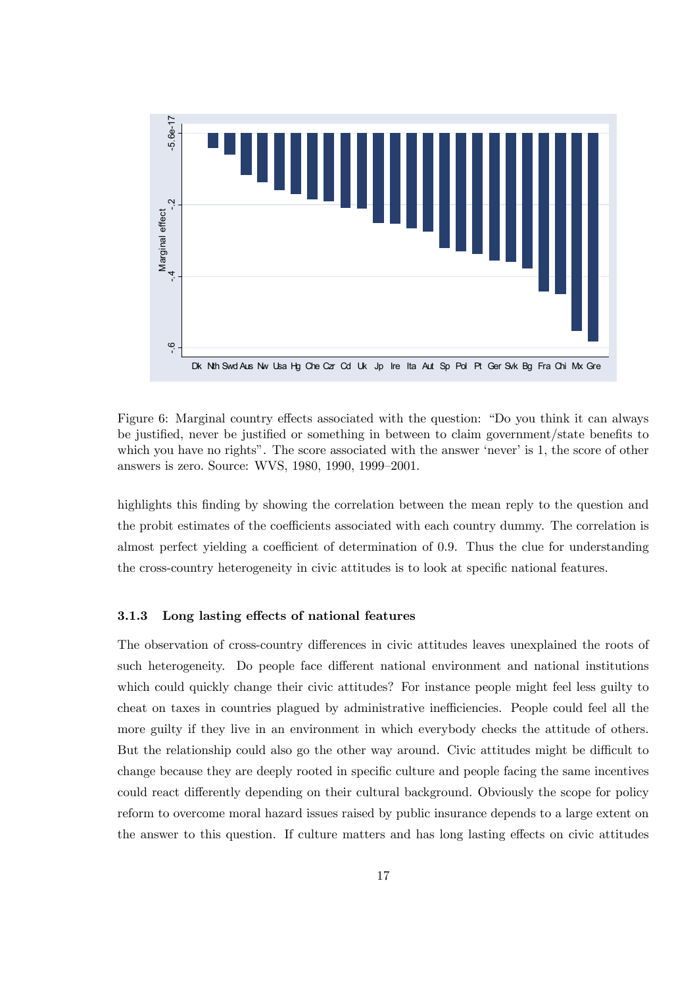

Figure 6: Marginal country effects associated with the question: "Do you think it can always be justified, never be justified or something in between to claim government/state benefits to which you have no rights". The score associated with the answer 'never' is 1, the score of other answers is zero. Source: WVS, 1980, 1990, 1999—2001.

highlights this finding by showing the correlation between the mean reply to the question and the probit estimates of the coefficients associated with each country dummy. The correlation is almost perfect yielding a coefficient of determination of 0.9. Thus the clue for understanding the cross-country heterogeneity in civic attitudes is to look at specific national features.

#### 3.1.3 Long lasting effects of national features

The observation of cross-country differences in civic attitudes leaves unexplained the roots of such heterogeneity. Do people face different national environment and national institutions which could quickly change their civic attitudes? For instance people might feel less guilty to cheat on taxes in countries plagued by administrative inefficiencies. People could feel all the more guilty if they live in an environment in which everybody checks the attitude of others. But the relationship could also go the other way around. Civic attitudes might be difficult to change because they are deeply rooted in specific culture and people facing the same incentives could react differently depending on their cultural background. Obviously the scope for policy reform to overcome moral hazard issues raised by public insurance depends to a large extent on the answer to this question. If culture matters and has long lasting effects on civic attitudes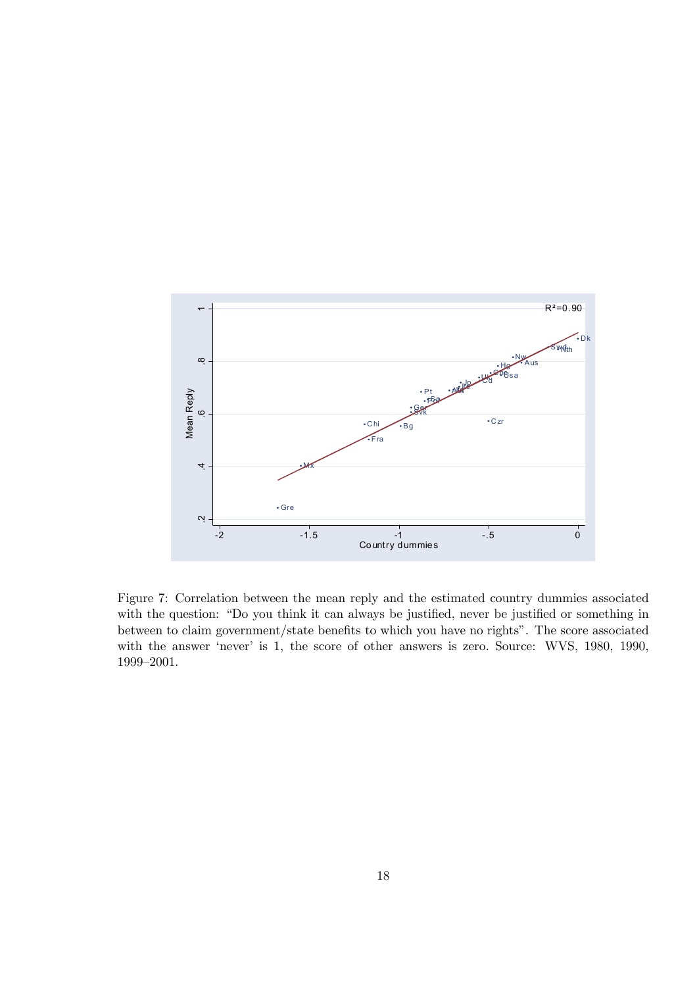

Figure 7: Correlation between the mean reply and the estimated country dummies associated with the question: "Do you think it can always be justified, never be justified or something in between to claim government/state benefits to which you have no rights". The score associated with the answer 'never' is 1, the score of other answers is zero. Source: WVS, 1980, 1990, 1999—2001.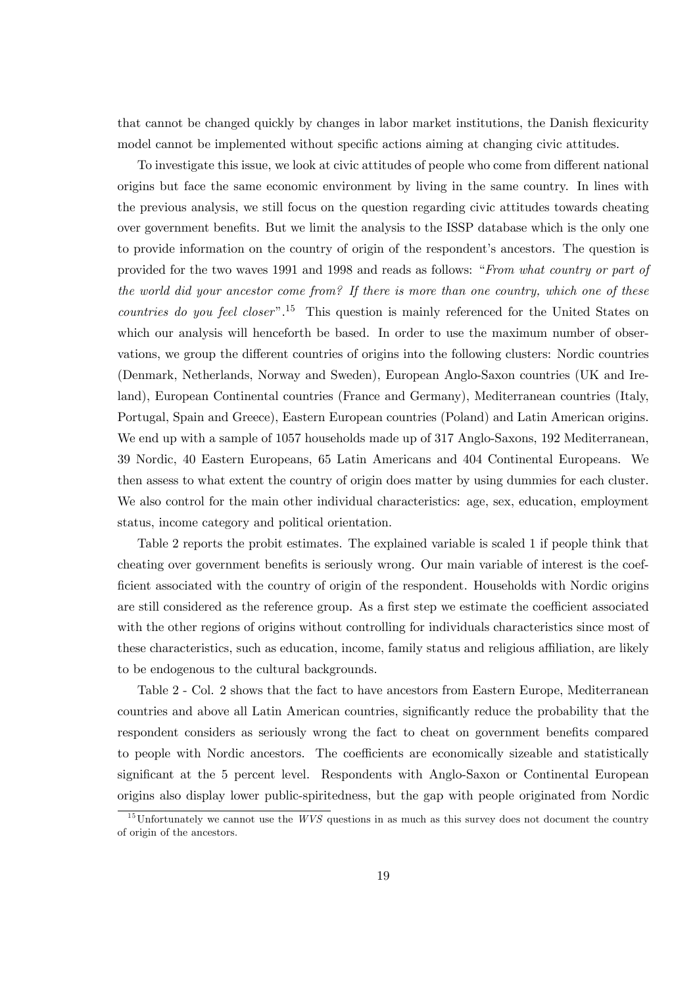that cannot be changed quickly by changes in labor market institutions, the Danish flexicurity model cannot be implemented without specific actions aiming at changing civic attitudes.

To investigate this issue, we look at civic attitudes of people who come from different national origins but face the same economic environment by living in the same country. In lines with the previous analysis, we still focus on the question regarding civic attitudes towards cheating over government benefits. But we limit the analysis to the ISSP database which is the only one to provide information on the country of origin of the respondent's ancestors. The question is provided for the two waves 1991 and 1998 and reads as follows: "From what country or part of the world did your ancestor come from? If there is more than one country, which one of these *countries do you feel closer*".<sup>15</sup> This question is mainly referenced for the United States on which our analysis will henceforth be based. In order to use the maximum number of observations, we group the different countries of origins into the following clusters: Nordic countries (Denmark, Netherlands, Norway and Sweden), European Anglo-Saxon countries (UK and Ireland), European Continental countries (France and Germany), Mediterranean countries (Italy, Portugal, Spain and Greece), Eastern European countries (Poland) and Latin American origins. We end up with a sample of 1057 households made up of 317 Anglo-Saxons, 192 Mediterranean, 39 Nordic, 40 Eastern Europeans, 65 Latin Americans and 404 Continental Europeans. We then assess to what extent the country of origin does matter by using dummies for each cluster. We also control for the main other individual characteristics: age, sex, education, employment status, income category and political orientation.

Table 2 reports the probit estimates. The explained variable is scaled 1 if people think that cheating over government benefits is seriously wrong. Our main variable of interest is the coefficient associated with the country of origin of the respondent. Households with Nordic origins are still considered as the reference group. As a first step we estimate the coefficient associated with the other regions of origins without controlling for individuals characteristics since most of these characteristics, such as education, income, family status and religious affiliation, are likely to be endogenous to the cultural backgrounds.

Table 2 - Col. 2 shows that the fact to have ancestors from Eastern Europe, Mediterranean countries and above all Latin American countries, significantly reduce the probability that the respondent considers as seriously wrong the fact to cheat on government benefits compared to people with Nordic ancestors. The coefficients are economically sizeable and statistically significant at the 5 percent level. Respondents with Anglo-Saxon or Continental European origins also display lower public-spiritedness, but the gap with people originated from Nordic

 $15$ Unfortunately we cannot use the WVS questions in as much as this survey does not document the country of origin of the ancestors.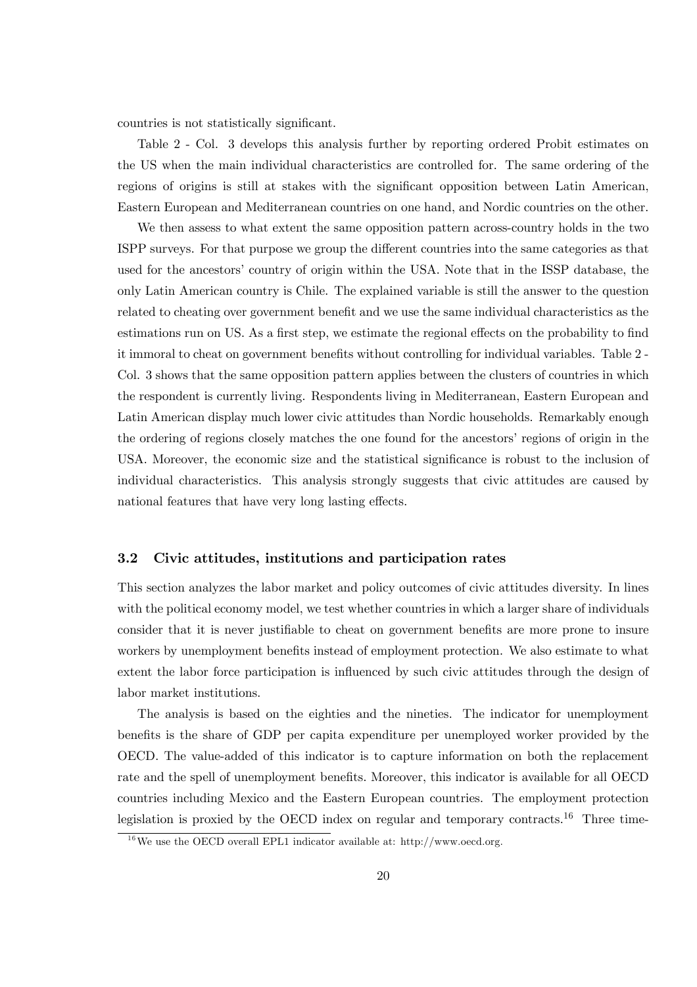countries is not statistically significant.

Table 2 - Col. 3 develops this analysis further by reporting ordered Probit estimates on the US when the main individual characteristics are controlled for. The same ordering of the regions of origins is still at stakes with the significant opposition between Latin American, Eastern European and Mediterranean countries on one hand, and Nordic countries on the other.

We then assess to what extent the same opposition pattern across-country holds in the two ISPP surveys. For that purpose we group the different countries into the same categories as that used for the ancestors' country of origin within the USA. Note that in the ISSP database, the only Latin American country is Chile. The explained variable is still the answer to the question related to cheating over government benefit and we use the same individual characteristics as the estimations run on US. As a first step, we estimate the regional effects on the probability to find it immoral to cheat on government benefits without controlling for individual variables. Table 2 - Col. 3 shows that the same opposition pattern applies between the clusters of countries in which the respondent is currently living. Respondents living in Mediterranean, Eastern European and Latin American display much lower civic attitudes than Nordic households. Remarkably enough the ordering of regions closely matches the one found for the ancestors' regions of origin in the USA. Moreover, the economic size and the statistical significance is robust to the inclusion of individual characteristics. This analysis strongly suggests that civic attitudes are caused by national features that have very long lasting effects.

#### 3.2 Civic attitudes, institutions and participation rates

This section analyzes the labor market and policy outcomes of civic attitudes diversity. In lines with the political economy model, we test whether countries in which a larger share of individuals consider that it is never justifiable to cheat on government benefits are more prone to insure workers by unemployment benefits instead of employment protection. We also estimate to what extent the labor force participation is influenced by such civic attitudes through the design of labor market institutions.

The analysis is based on the eighties and the nineties. The indicator for unemployment benefits is the share of GDP per capita expenditure per unemployed worker provided by the OECD. The value-added of this indicator is to capture information on both the replacement rate and the spell of unemployment benefits. Moreover, this indicator is available for all OECD countries including Mexico and the Eastern European countries. The employment protection legislation is proxied by the OECD index on regular and temporary contracts.16 Three time-

 $^{16}$ We use the OECD overall EPL1 indicator available at: http://www.oecd.org.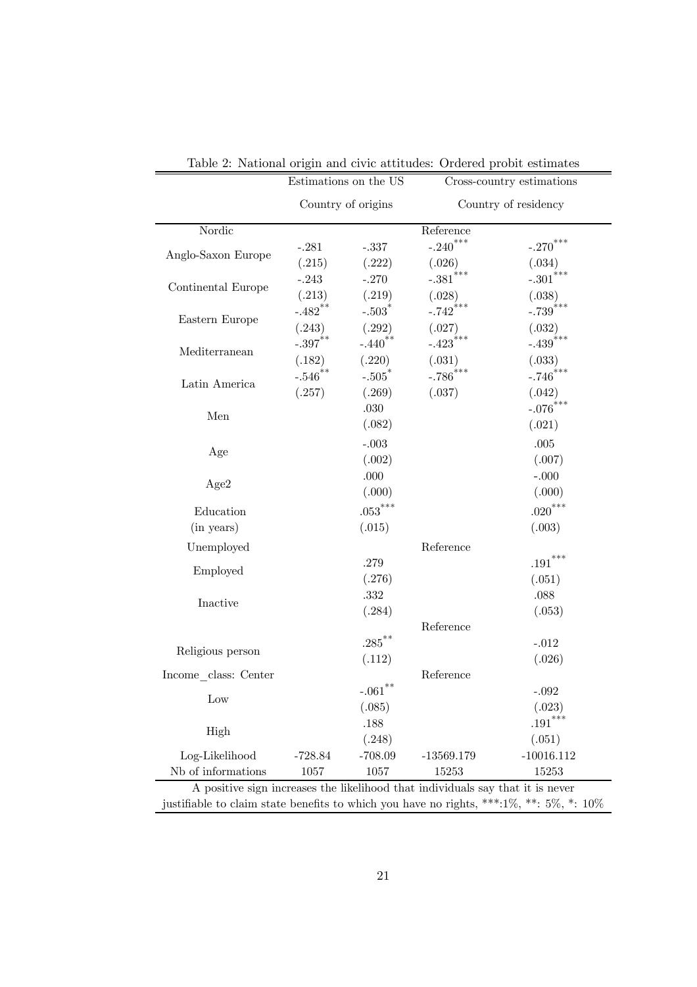|                                                                                            | Estimations on the US |                           | Cross-country estimations |                        |  |
|--------------------------------------------------------------------------------------------|-----------------------|---------------------------|---------------------------|------------------------|--|
|                                                                                            | Country of origins    |                           | Country of residency      |                        |  |
| Nordic                                                                                     |                       |                           | Reference                 |                        |  |
|                                                                                            | $-.281$               | $-.337$                   | $-.240$ <sup>***</sup>    | $-.270$ <sup>***</sup> |  |
| Anglo-Saxon Europe                                                                         | (.215)                | (.222)                    | (.026)                    | (.034)                 |  |
| Continental Europe                                                                         | $-.243$               | $-.270$                   | $-.381$ ***               | $-.301^{***}\,$        |  |
|                                                                                            | (.213)                | (.219)                    | (.028)                    | (.038)                 |  |
| Eastern Europe                                                                             | $-.482$ **            | $-.503$ <sup>*</sup>      | $-.742***$                | $-.739^{***}\,$        |  |
|                                                                                            | (.243)                | (.292)                    | (.027)                    | (.032)                 |  |
| Mediterranean                                                                              | $-0.397**$            | $-.440$ <sup>**</sup>     | $-.423$ ***               | $-.439$ ***            |  |
|                                                                                            | (.182)                | (.220)                    | (.031)                    | (.033)                 |  |
| Latin America                                                                              | $-.546^{**}$          | $-.505$ <sup>*</sup>      | $-.786$ ***               | $-.746***$             |  |
|                                                                                            | (.257)                | (.269)                    | (.037)                    | (.042)                 |  |
| Men                                                                                        |                       | .030                      |                           | $-.076^{***}\,$        |  |
|                                                                                            |                       | (.082)                    |                           | (.021)                 |  |
| Age                                                                                        |                       | $-.003$                   |                           | .005                   |  |
|                                                                                            |                       | (.002)                    |                           | (.007)                 |  |
| Age2                                                                                       |                       | .000                      |                           | $-.000$                |  |
|                                                                                            |                       | (.000)                    |                           | (.000)                 |  |
| Education                                                                                  |                       | $.053***$                 |                           | $.020***$              |  |
| (in years)                                                                                 |                       | (.015)                    |                           | (.003)                 |  |
| Unemployed                                                                                 |                       |                           | Reference                 |                        |  |
|                                                                                            |                       | .279                      |                           | $\mathbf{.191}^{***}$  |  |
| Employed                                                                                   |                       | (.276)                    |                           | (.051)                 |  |
| Inactive                                                                                   |                       | $.332\,$                  |                           | .088                   |  |
|                                                                                            |                       | (.284)                    |                           | (.053)                 |  |
|                                                                                            |                       |                           | Reference                 |                        |  |
| Religious person                                                                           |                       | $.285$ <sup>**</sup>      |                           | $-.012$                |  |
|                                                                                            |                       | (.112)                    |                           | (.026)                 |  |
| Income class: Center                                                                       |                       |                           | Reference                 |                        |  |
| Low                                                                                        |                       | $\textnormal{-}.061^{**}$ |                           | $-.092$                |  |
|                                                                                            |                       | (.085)                    |                           | (.023)                 |  |
| High                                                                                       |                       | .188                      |                           | $.191***$              |  |
|                                                                                            |                       | (.248)                    |                           | (.051)                 |  |
| Log-Likelihood                                                                             | $-728.84$             | $-708.09$                 | $-13569.179$              | $-10016.112$           |  |
| Nb of informations                                                                         | 1057                  | 1057                      | 15253                     | 15253                  |  |
| A positive sign increases the likelihood that individuals say that it is never             |                       |                           |                           |                        |  |
| justifiable to claim state benefits to which you have no rights, ***:1\%, **: 5\%, *: 10\% |                       |                           |                           |                        |  |

Table 2: National origin and civic attitudes: Ordered probit estimates

÷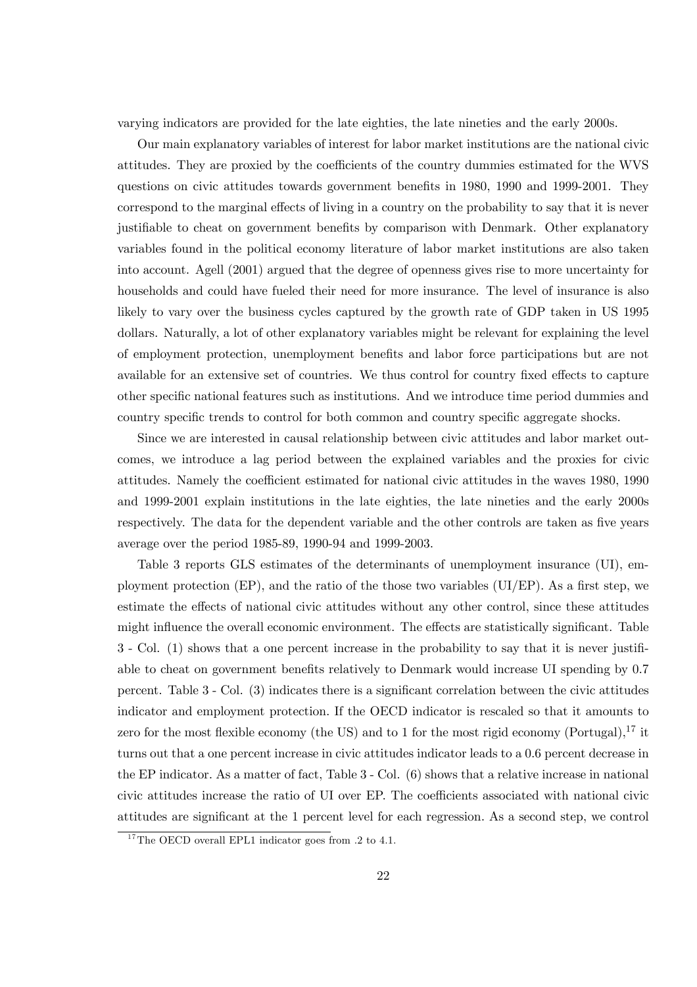varying indicators are provided for the late eighties, the late nineties and the early 2000s.

Our main explanatory variables of interest for labor market institutions are the national civic attitudes. They are proxied by the coefficients of the country dummies estimated for the WVS questions on civic attitudes towards government benefits in 1980, 1990 and 1999-2001. They correspond to the marginal effects of living in a country on the probability to say that it is never justifiable to cheat on government benefits by comparison with Denmark. Other explanatory variables found in the political economy literature of labor market institutions are also taken into account. Agell (2001) argued that the degree of openness gives rise to more uncertainty for households and could have fueled their need for more insurance. The level of insurance is also likely to vary over the business cycles captured by the growth rate of GDP taken in US 1995 dollars. Naturally, a lot of other explanatory variables might be relevant for explaining the level of employment protection, unemployment benefits and labor force participations but are not available for an extensive set of countries. We thus control for country fixed effects to capture other specific national features such as institutions. And we introduce time period dummies and country specific trends to control for both common and country specific aggregate shocks.

Since we are interested in causal relationship between civic attitudes and labor market outcomes, we introduce a lag period between the explained variables and the proxies for civic attitudes. Namely the coefficient estimated for national civic attitudes in the waves 1980, 1990 and 1999-2001 explain institutions in the late eighties, the late nineties and the early 2000s respectively. The data for the dependent variable and the other controls are taken as five years average over the period 1985-89, 1990-94 and 1999-2003.

Table 3 reports GLS estimates of the determinants of unemployment insurance (UI), employment protection (EP), and the ratio of the those two variables (UI/EP). As a first step, we estimate the effects of national civic attitudes without any other control, since these attitudes might influence the overall economic environment. The effects are statistically significant. Table 3 - Col. (1) shows that a one percent increase in the probability to say that it is never justifiable to cheat on government benefits relatively to Denmark would increase UI spending by 0.7 percent. Table 3 - Col. (3) indicates there is a significant correlation between the civic attitudes indicator and employment protection. If the OECD indicator is rescaled so that it amounts to zero for the most flexible economy (the US) and to 1 for the most rigid economy (Portugal),  $^{17}$  it turns out that a one percent increase in civic attitudes indicator leads to a 0.6 percent decrease in the EP indicator. As a matter of fact, Table 3 - Col. (6) shows that a relative increase in national civic attitudes increase the ratio of UI over EP. The coefficients associated with national civic attitudes are significant at the 1 percent level for each regression. As a second step, we control

<sup>&</sup>lt;sup>17</sup>The OECD overall EPL1 indicator goes from .2 to 4.1.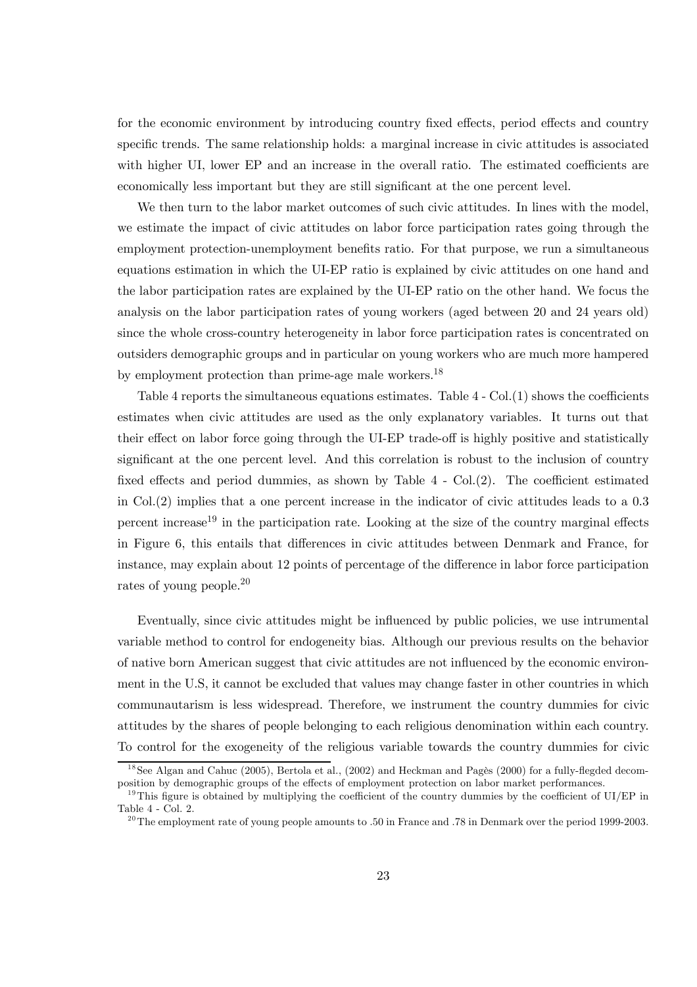for the economic environment by introducing country fixed effects, period effects and country specific trends. The same relationship holds: a marginal increase in civic attitudes is associated with higher UI, lower EP and an increase in the overall ratio. The estimated coefficients are economically less important but they are still significant at the one percent level.

We then turn to the labor market outcomes of such civic attitudes. In lines with the model, we estimate the impact of civic attitudes on labor force participation rates going through the employment protection-unemployment benefits ratio. For that purpose, we run a simultaneous equations estimation in which the UI-EP ratio is explained by civic attitudes on one hand and the labor participation rates are explained by the UI-EP ratio on the other hand. We focus the analysis on the labor participation rates of young workers (aged between 20 and 24 years old) since the whole cross-country heterogeneity in labor force participation rates is concentrated on outsiders demographic groups and in particular on young workers who are much more hampered by employment protection than prime-age male workers.18

Table 4 reports the simultaneous equations estimates. Table 4 - Col.(1) shows the coefficients estimates when civic attitudes are used as the only explanatory variables. It turns out that their effect on labor force going through the UI-EP trade-off is highly positive and statistically significant at the one percent level. And this correlation is robust to the inclusion of country fixed effects and period dummies, as shown by Table 4 - Col.(2). The coefficient estimated in Col.(2) implies that a one percent increase in the indicator of civic attitudes leads to a 0.3 percent increase<sup>19</sup> in the participation rate. Looking at the size of the country marginal effects in Figure 6, this entails that differences in civic attitudes between Denmark and France, for instance, may explain about 12 points of percentage of the difference in labor force participation rates of young people.20

Eventually, since civic attitudes might be influenced by public policies, we use intrumental variable method to control for endogeneity bias. Although our previous results on the behavior of native born American suggest that civic attitudes are not influenced by the economic environment in the U.S, it cannot be excluded that values may change faster in other countries in which communautarism is less widespread. Therefore, we instrument the country dummies for civic attitudes by the shares of people belonging to each religious denomination within each country. To control for the exogeneity of the religious variable towards the country dummies for civic

 $18$  See Algan and Cahuc (2005), Bertola et al., (2002) and Heckman and Pagès (2000) for a fully-flegded decomposition by demographic groups of the effects of employment protection on labor market performances.

<sup>&</sup>lt;sup>19</sup>This figure is obtained by multiplying the coefficient of the country dummies by the coefficient of UI/EP in Table 4 - Col. 2.

<sup>&</sup>lt;sup>20</sup>The employment rate of young people amounts to .50 in France and .78 in Denmark over the period 1999-2003.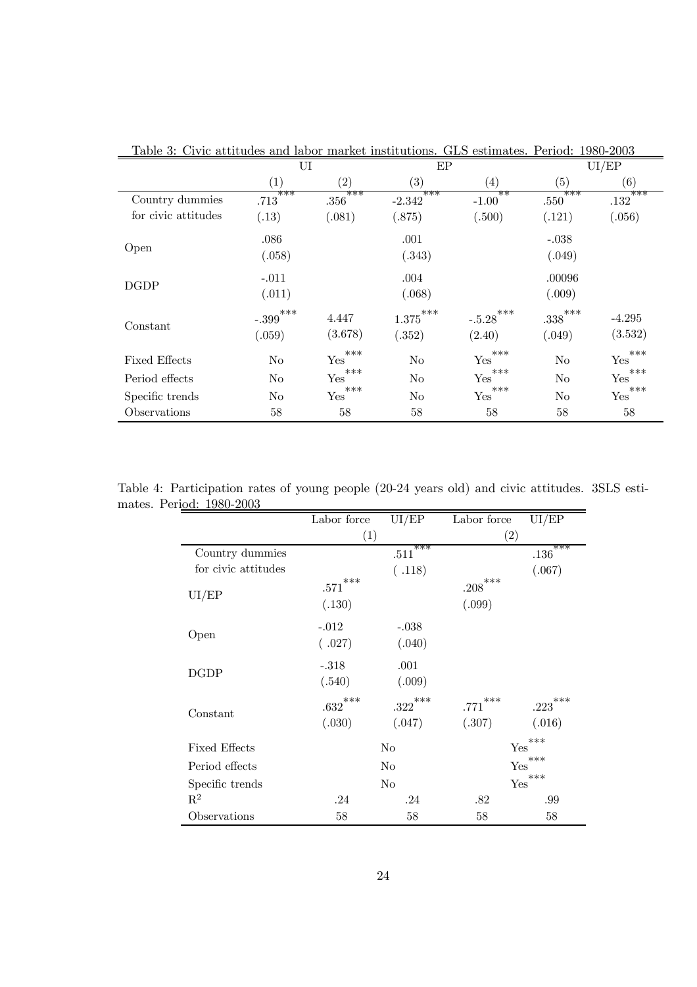| Lable 3: Civic attitudes and | labor             |                   | market institutions. | GLS estimates.    | Period:           | 1980-2003       |  |
|------------------------------|-------------------|-------------------|----------------------|-------------------|-------------------|-----------------|--|
|                              | UI                |                   |                      | EP                |                   | UI/EP           |  |
|                              | $\left( 1\right)$ | $\left( 2\right)$ | $\left( 3\right)$    | $\left( 4\right)$ | $\left( 5\right)$ | (6)             |  |
| Country dummies              | ***<br>.713       | ***<br>.356       | ***<br>$-2.342$      | ऋऋ<br>$-1.00$     | ***<br>.550       | ***<br>$.132\,$ |  |
| for civic attitudes          | (.13)             | (.081)            | (.875)               | (.500)            | (.121)            | (.056)          |  |
|                              | .086              |                   | .001                 |                   | $-.038$           |                 |  |
| Open                         | (.058)            |                   | (.343)               |                   | (.049)            |                 |  |
| <b>DGDP</b>                  | $-.011$           |                   | .004                 |                   | .00096            |                 |  |
|                              | (.011)            |                   | (.068)               |                   | (.009)            |                 |  |
|                              | ***<br>$-.399$    | 4.447             | $1.375***$           | ***<br>$-.5.28$   | $.338***$         | $-4.295$        |  |
| Constant                     | (.059)            | (3.678)           | (.352)               | (2.40)            | (.049)            | (3.532)         |  |
| <b>Fixed Effects</b>         | N <sub>0</sub>    | ***<br>Yes        | No                   | ***<br>Yes        | N <sub>o</sub>    | ***<br>Yes      |  |
| Period effects               | No                | ***<br>Yes        | No                   | ***<br>Yes        | No                | ***<br>Yes      |  |
| Specific trends              | No                | ***<br>Yes        | No                   | ***<br>Yes        | N <sub>o</sub>    | ***<br>Yes      |  |
| Observations                 | 58                | 58                | 58                   | 58                | 58                | 58              |  |

Table 3: Civic attitudes and labor market institutions. GLS estimates. Period: 1980-2003

Table 4: Participation rates of young people (20-24 years old) and civic attitudes. 3SLS estimates. Period: 1980-2003

|                      | Labor force     | UI/EP                  | Labor force           | UI/EP                  |
|----------------------|-----------------|------------------------|-----------------------|------------------------|
|                      | (1)             |                        | $\left( 2\right)$     |                        |
| Country dummies      |                 | ***<br>.511            |                       | ***<br>.136            |
| for civic attitudes  |                 | (.118)                 |                       | (.067)                 |
| UI/EP                | ***<br>$.571\,$ |                        | $.208***$             |                        |
|                      | (.130)          |                        | (.099)                |                        |
|                      | $-.012$         | $-.038$                |                       |                        |
| Open                 | (.027)          | (.040)                 |                       |                        |
|                      | $-.318$         | .001                   |                       |                        |
| <b>DGDP</b>          | (.540)          | (.009)                 |                       |                        |
| Constant             | $.632^{***}$    | $.322}^{\ast\ast\ast}$ | $.771^{\ast\ast\ast}$ | $.223}^{\ast\ast\ast}$ |
|                      | (.030)          | (.047)                 | (.307)                | (.016)                 |
| <b>Fixed Effects</b> |                 | No                     | Yes                   | ***                    |
| Period effects       |                 | No                     | Yes                   | ***                    |
| Specific trends      | N <sub>0</sub>  |                        | Yes                   | ***                    |
| $\mathbf{R}^2$       | .24             | .24                    | .82                   | .99                    |
| Observations         | 58              | 58                     | 58                    | 58                     |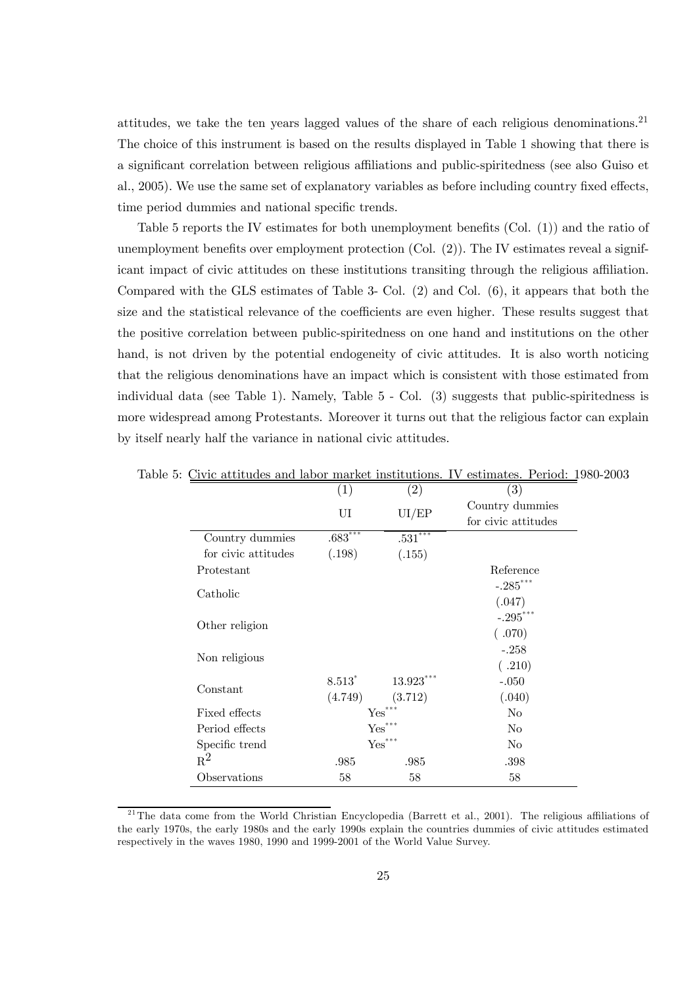attitudes, we take the ten years lagged values of the share of each religious denominations.<sup>21</sup> The choice of this instrument is based on the results displayed in Table 1 showing that there is a significant correlation between religious affiliations and public-spiritedness (see also Guiso et al., 2005). We use the same set of explanatory variables as before including country fixed effects, time period dummies and national specific trends.

Table 5 reports the IV estimates for both unemployment benefits (Col. (1)) and the ratio of unemployment benefits over employment protection (Col. (2)). The IV estimates reveal a significant impact of civic attitudes on these institutions transiting through the religious affiliation. Compared with the GLS estimates of Table 3- Col. (2) and Col. (6), it appears that both the size and the statistical relevance of the coefficients are even higher. These results suggest that the positive correlation between public-spiritedness on one hand and institutions on the other hand, is not driven by the potential endogeneity of civic attitudes. It is also worth noticing that the religious denominations have an impact which is consistent with those estimated from individual data (see Table 1). Namely, Table 5 - Col. (3) suggests that public-spiritedness is more widespread among Protestants. Moreover it turns out that the religious factor can explain by itself nearly half the variance in national civic attitudes.

|                     | $\left( 1\right)$    | (2)                             | (3)                 |  |
|---------------------|----------------------|---------------------------------|---------------------|--|
|                     | UI                   | UI/EP                           | Country dummies     |  |
|                     |                      |                                 | for civic attitudes |  |
| Country dummies     | $.683***$            | $.531^{\overbrace{\text{***}}}$ |                     |  |
| for civic attitudes | (.198)               | (.155)                          |                     |  |
| Protestant          |                      |                                 | Reference           |  |
|                     |                      |                                 | $-.285***$          |  |
| Catholic            |                      |                                 | (.047)              |  |
|                     |                      |                                 | $-.295***$          |  |
| Other religion      |                      |                                 | (.070)              |  |
|                     |                      |                                 | $-.258$             |  |
| Non religious       |                      |                                 | (.210)              |  |
|                     | 8.513                | $13.923***$                     | $-.050$             |  |
| Constant            | (4.749)              | (3.712)                         | (.040)              |  |
| Fixed effects       |                      | $\mathbf{Yes}^{***}$            | No                  |  |
| Period effects      | $\mathbf{Yes}^{***}$ |                                 | No                  |  |
| Specific trend      | $\mathbf{Yes}^{***}$ |                                 | No                  |  |
| $R^2$               | .985                 | .985                            | .398                |  |
| Observations        | 58                   | 58                              | 58                  |  |

Table 5: Civic attitudes and labor market institutions. IV estimates. Period: 1980-2003

 $21$ <sup>21</sup>The data come from the World Christian Encyclopedia (Barrett et al., 2001). The religious affiliations of the early 1970s, the early 1980s and the early 1990s explain the countries dummies of civic attitudes estimated respectively in the waves 1980, 1990 and 1999-2001 of the World Value Survey.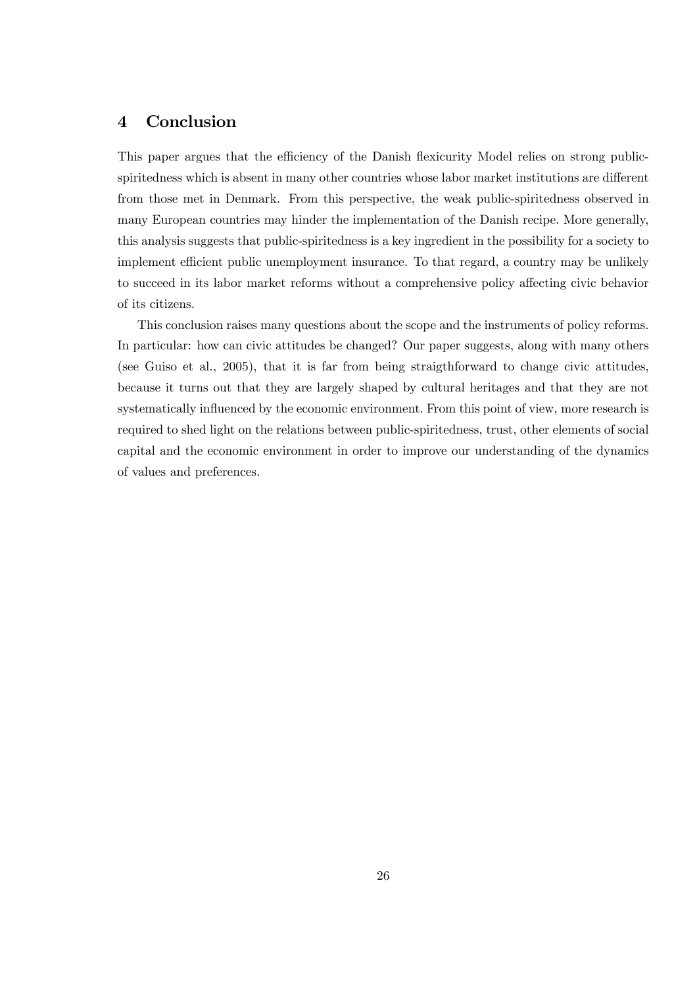# 4 Conclusion

This paper argues that the efficiency of the Danish flexicurity Model relies on strong publicspiritedness which is absent in many other countries whose labor market institutions are different from those met in Denmark. From this perspective, the weak public-spiritedness observed in many European countries may hinder the implementation of the Danish recipe. More generally, this analysis suggests that public-spiritedness is a key ingredient in the possibility for a society to implement efficient public unemployment insurance. To that regard, a country may be unlikely to succeed in its labor market reforms without a comprehensive policy affecting civic behavior of its citizens.

This conclusion raises many questions about the scope and the instruments of policy reforms. In particular: how can civic attitudes be changed? Our paper suggests, along with many others (see Guiso et al., 2005), that it is far from being straigthforward to change civic attitudes, because it turns out that they are largely shaped by cultural heritages and that they are not systematically influenced by the economic environment. From this point of view, more research is required to shed light on the relations between public-spiritedness, trust, other elements of social capital and the economic environment in order to improve our understanding of the dynamics of values and preferences.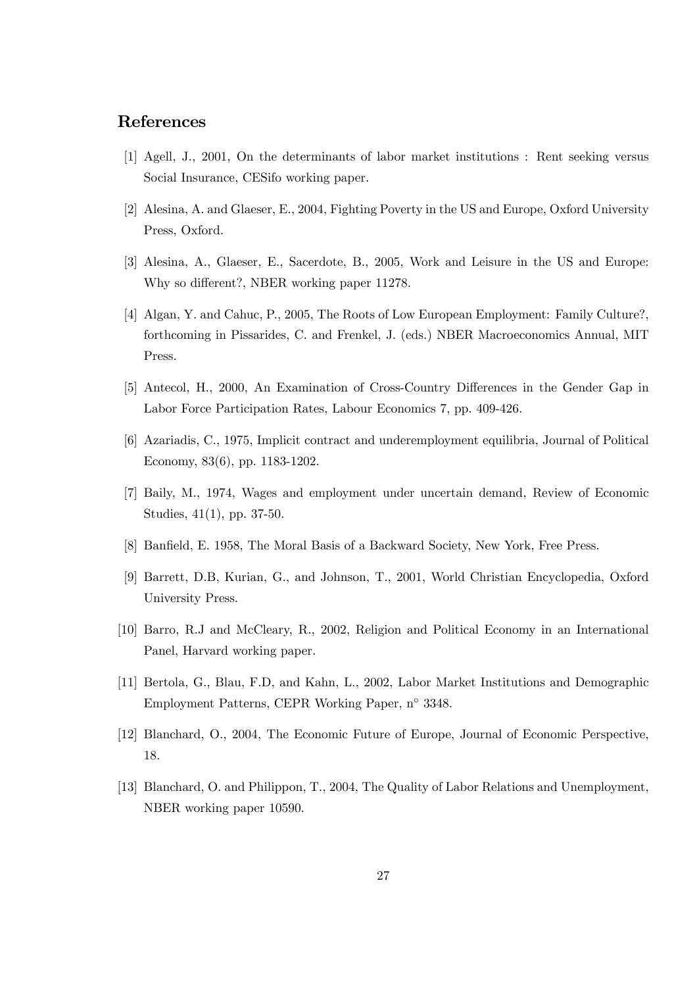# References

- [1] Agell, J., 2001, On the determinants of labor market institutions : Rent seeking versus Social Insurance, CESifo working paper.
- [2] Alesina, A. and Glaeser, E., 2004, Fighting Poverty in the US and Europe, Oxford University Press, Oxford.
- [3] Alesina, A., Glaeser, E., Sacerdote, B., 2005, Work and Leisure in the US and Europe: Why so different?, NBER working paper 11278.
- [4] Algan, Y. and Cahuc, P., 2005, The Roots of Low European Employment: Family Culture?, forthcoming in Pissarides, C. and Frenkel, J. (eds.) NBER Macroeconomics Annual, MIT Press.
- [5] Antecol, H., 2000, An Examination of Cross-Country Differences in the Gender Gap in Labor Force Participation Rates, Labour Economics 7, pp. 409-426.
- [6] Azariadis, C., 1975, Implicit contract and underemployment equilibria, Journal of Political Economy, 83(6), pp. 1183-1202.
- [7] Baily, M., 1974, Wages and employment under uncertain demand, Review of Economic Studies, 41(1), pp. 37-50.
- [8] Banfield, E. 1958, The Moral Basis of a Backward Society, New York, Free Press.
- [9] Barrett, D.B, Kurian, G., and Johnson, T., 2001, World Christian Encyclopedia, Oxford University Press.
- [10] Barro, R.J and McCleary, R., 2002, Religion and Political Economy in an International Panel, Harvard working paper.
- [11] Bertola, G., Blau, F.D, and Kahn, L., 2002, Labor Market Institutions and Demographic Employment Patterns, CEPR Working Paper, n◦ 3348.
- [12] Blanchard, O., 2004, The Economic Future of Europe, Journal of Economic Perspective, 18.
- [13] Blanchard, O. and Philippon, T., 2004, The Quality of Labor Relations and Unemployment, NBER working paper 10590.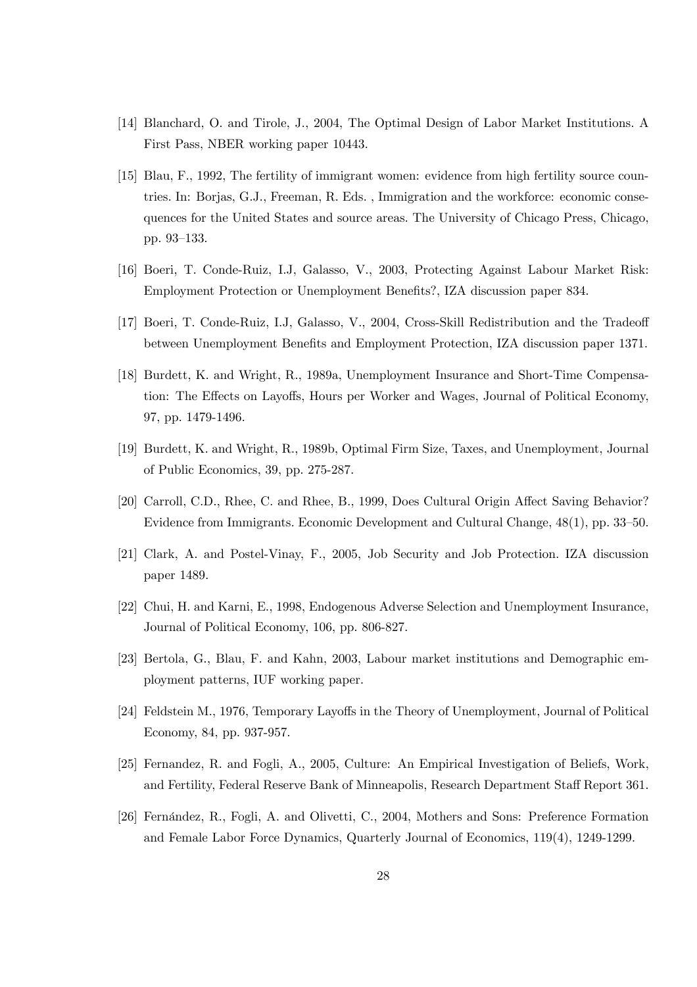- [14] Blanchard, O. and Tirole, J., 2004, The Optimal Design of Labor Market Institutions. A First Pass, NBER working paper 10443.
- [15] Blau, F., 1992, The fertility of immigrant women: evidence from high fertility source countries. In: Borjas, G.J., Freeman, R. Eds. , Immigration and the workforce: economic consequences for the United States and source areas. The University of Chicago Press, Chicago, pp. 93—133.
- [16] Boeri, T. Conde-Ruiz, I.J, Galasso, V., 2003, Protecting Against Labour Market Risk: Employment Protection or Unemployment Benefits?, IZA discussion paper 834.
- [17] Boeri, T. Conde-Ruiz, I.J, Galasso, V., 2004, Cross-Skill Redistribution and the Tradeoff between Unemployment Benefits and Employment Protection, IZA discussion paper 1371.
- [18] Burdett, K. and Wright, R., 1989a, Unemployment Insurance and Short-Time Compensation: The Effects on Layoffs, Hours per Worker and Wages, Journal of Political Economy, 97, pp. 1479-1496.
- [19] Burdett, K. and Wright, R., 1989b, Optimal Firm Size, Taxes, and Unemployment, Journal of Public Economics, 39, pp. 275-287.
- [20] Carroll, C.D., Rhee, C. and Rhee, B., 1999, Does Cultural Origin Affect Saving Behavior? Evidence from Immigrants. Economic Development and Cultural Change, 48(1), pp. 33—50.
- [21] Clark, A. and Postel-Vinay, F., 2005, Job Security and Job Protection. IZA discussion paper 1489.
- [22] Chui, H. and Karni, E., 1998, Endogenous Adverse Selection and Unemployment Insurance, Journal of Political Economy, 106, pp. 806-827.
- [23] Bertola, G., Blau, F. and Kahn, 2003, Labour market institutions and Demographic employment patterns, IUF working paper.
- [24] Feldstein M., 1976, Temporary Layoffs in the Theory of Unemployment, Journal of Political Economy, 84, pp. 937-957.
- [25] Fernandez, R. and Fogli, A., 2005, Culture: An Empirical Investigation of Beliefs, Work, and Fertility, Federal Reserve Bank of Minneapolis, Research Department Staff Report 361.
- [26] Fernández, R., Fogli, A. and Olivetti, C., 2004, Mothers and Sons: Preference Formation and Female Labor Force Dynamics, Quarterly Journal of Economics, 119(4), 1249-1299.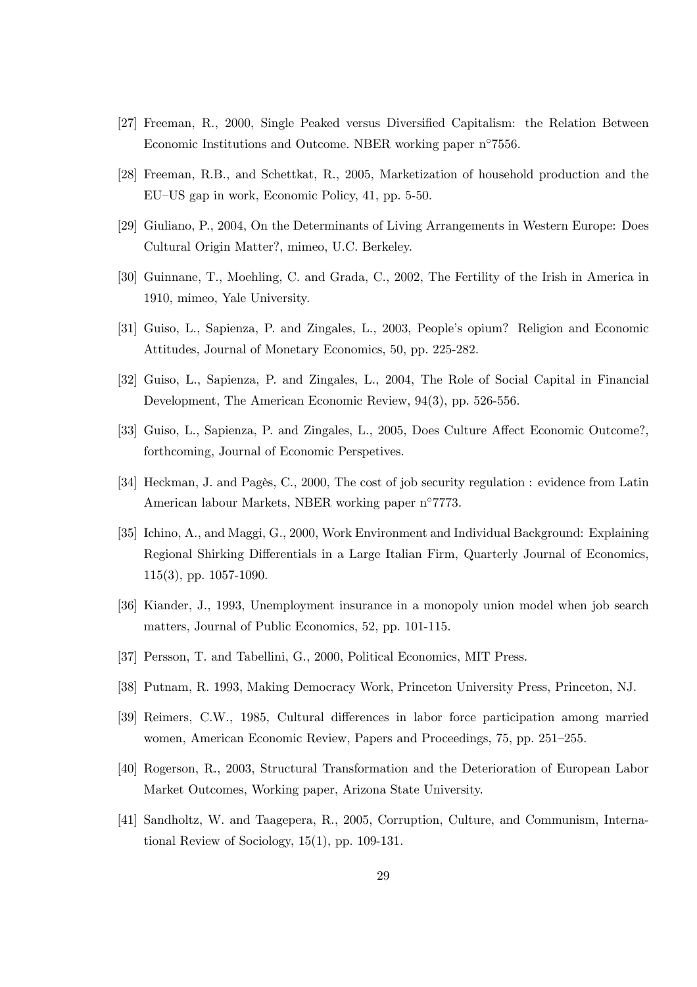- [27] Freeman, R., 2000, Single Peaked versus Diversified Capitalism: the Relation Between Economic Institutions and Outcome. NBER working paper n◦7556.
- [28] Freeman, R.B., and Schettkat, R., 2005, Marketization of household production and the EU—US gap in work, Economic Policy, 41, pp. 5-50.
- [29] Giuliano, P., 2004, On the Determinants of Living Arrangements in Western Europe: Does Cultural Origin Matter?, mimeo, U.C. Berkeley.
- [30] Guinnane, T., Moehling, C. and Grada, C., 2002, The Fertility of the Irish in America in 1910, mimeo, Yale University.
- [31] Guiso, L., Sapienza, P. and Zingales, L., 2003, People's opium? Religion and Economic Attitudes, Journal of Monetary Economics, 50, pp. 225-282.
- [32] Guiso, L., Sapienza, P. and Zingales, L., 2004, The Role of Social Capital in Financial Development, The American Economic Review, 94(3), pp. 526-556.
- [33] Guiso, L., Sapienza, P. and Zingales, L., 2005, Does Culture Affect Economic Outcome?, forthcoming, Journal of Economic Perspetives.
- [34] Heckman, J. and Pagès, C., 2000, The cost of job security regulation : evidence from Latin American labour Markets, NBER working paper n◦7773.
- [35] Ichino, A., and Maggi, G., 2000, Work Environment and Individual Background: Explaining Regional Shirking Differentials in a Large Italian Firm, Quarterly Journal of Economics, 115(3), pp. 1057-1090.
- [36] Kiander, J., 1993, Unemployment insurance in a monopoly union model when job search matters, Journal of Public Economics, 52, pp. 101-115.
- [37] Persson, T. and Tabellini, G., 2000, Political Economics, MIT Press.
- [38] Putnam, R. 1993, Making Democracy Work, Princeton University Press, Princeton, NJ.
- [39] Reimers, C.W., 1985, Cultural differences in labor force participation among married women, American Economic Review, Papers and Proceedings, 75, pp. 251—255.
- [40] Rogerson, R., 2003, Structural Transformation and the Deterioration of European Labor Market Outcomes, Working paper, Arizona State University.
- [41] Sandholtz, W. and Taagepera, R., 2005, Corruption, Culture, and Communism, International Review of Sociology, 15(1), pp. 109-131.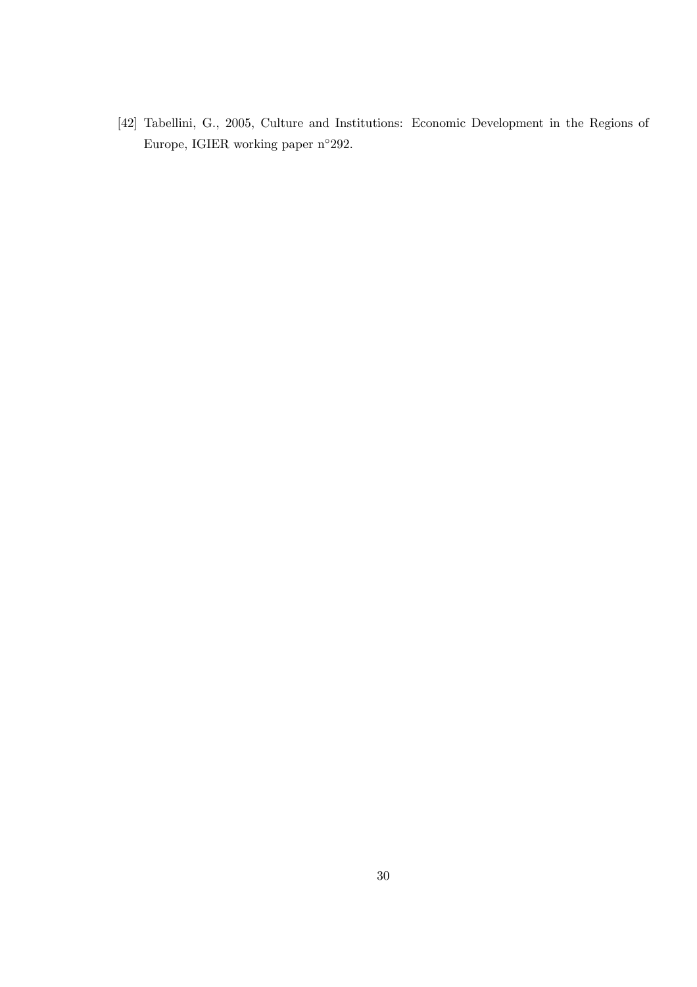[42] Tabellini, G., 2005, Culture and Institutions: Economic Development in the Regions of Europe, IGIER working paper n◦292.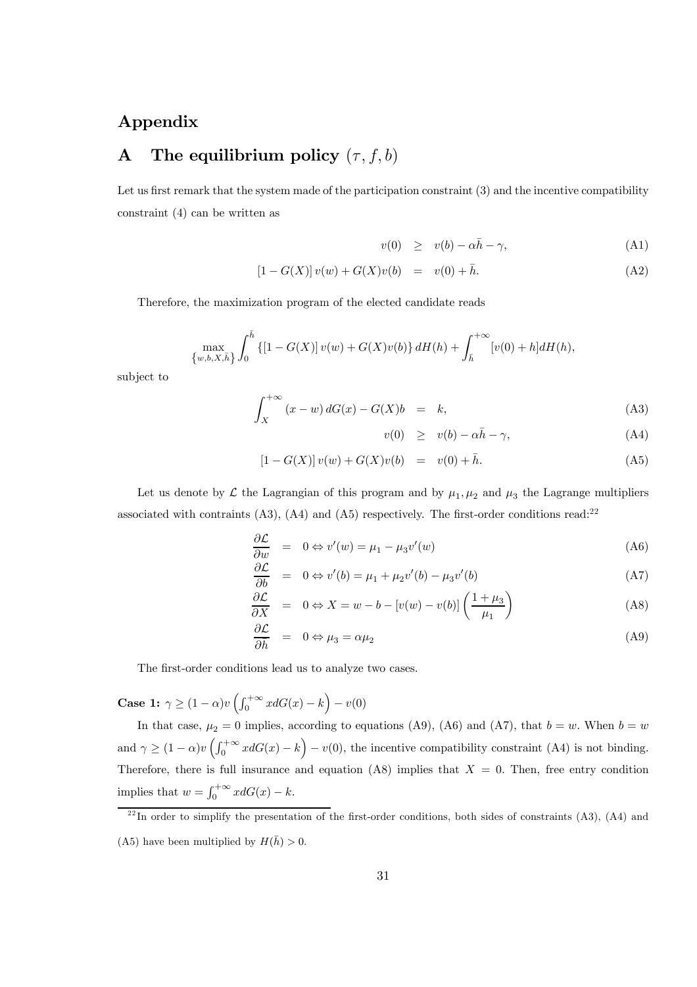# Appendix

# A The equilibrium policy  $(\tau, f, b)$

Let us first remark that the system made of the participation constraint (3) and the incentive compatibility constraint (4) can be written as

$$
v(0) \geq v(b) - \alpha \bar{h} - \gamma, \tag{A1}
$$

$$
[1 - G(X)]v(w) + G(X)v(b) = v(0) + \bar{h}.
$$
 (A2)

Therefore, the maximization program of the elected candidate reads

$$
\max_{\{w,b,X,\bar{h}\}} \int_0^{\bar{h}} \left\{ [1 - G(X)] \, v(w) + G(X)v(b) \right\} dH(h) + \int_{\bar{h}}^{+\infty} [v(0) + h] dH(h),
$$

subject to

$$
\int_{X}^{+\infty} (x - w) dG(x) - G(X)b = k,
$$
\n(A3)

$$
v(0) \geq v(b) - \alpha \bar{h} - \gamma, \tag{A4}
$$

$$
[1 - G(X)] v(w) + G(X)v(b) = v(0) + \bar{h}.
$$
 (A5)

Let us denote by  $\mathcal L$  the Lagrangian of this program and by  $\mu_1, \mu_2$  and  $\mu_3$  the Lagrange multipliers associated with contraints  $(A3)$ ,  $(A4)$  and  $(A5)$  respectively. The first-order conditions read:<sup>22</sup>

$$
\frac{\partial \mathcal{L}}{\partial w} = 0 \Leftrightarrow v'(w) = \mu_1 - \mu_3 v'(w) \tag{A6}
$$

$$
\frac{\partial \mathcal{L}}{\partial b} = 0 \Leftrightarrow v'(b) = \mu_1 + \mu_2 v'(b) - \mu_3 v'(b) \tag{A7}
$$

$$
\frac{\partial \mathcal{L}}{\partial X} = 0 \Leftrightarrow X = w - b - [v(w) - v(b)] \left( \frac{1 + \mu_3}{\mu_1} \right)
$$
(A8)

$$
\frac{\partial \mathcal{L}}{\partial \bar{h}} = 0 \Leftrightarrow \mu_3 = \alpha \mu_2 \tag{A9}
$$

The first-order conditions lead us to analyze two cases.

**Case 1:**  $\gamma \ge (1 - \alpha)v \left( \int_0^{+\infty} x dG(x) - k \right) - v(0)$ 

In that case,  $\mu_2 = 0$  implies, according to equations (A9), (A6) and (A7), that  $b = w$ . When  $b = w$ and  $\gamma \ge (1 - \alpha)v \left(\int_0^{+\infty} x dG(x) - k\right) - v(0)$ , the incentive compatibility constraint (A4) is not binding. Therefore, there is full insurance and equation (A8) implies that  $X = 0$ . Then, free entry condition implies that  $w = \int_0^{+\infty} x dG(x) - k$ .

 $^{22}$ In order to simplify the presentation of the first-order conditions, both sides of constraints (A3), (A4) and (A5) have been multiplied by  $H(\bar{h}) > 0$ .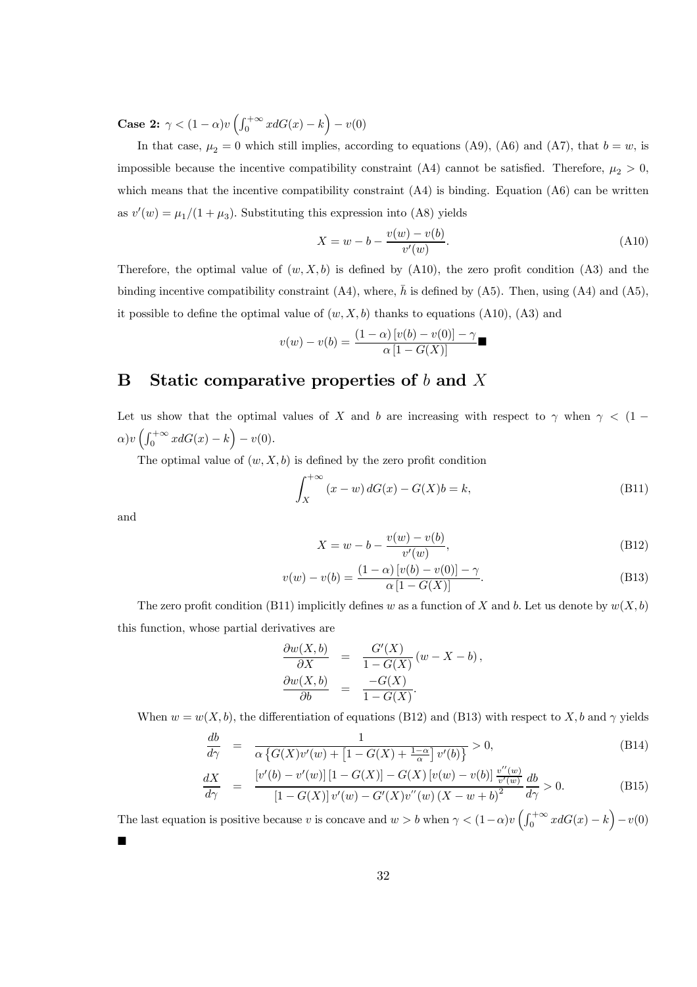**Case 2:**  $\gamma < (1 - \alpha)v \left( \int_0^{+\infty} x dG(x) - k \right) - v(0)$ 

In that case,  $\mu_2 = 0$  which still implies, according to equations (A9), (A6) and (A7), that  $b = w$ , is impossible because the incentive compatibility constraint (A4) cannot be satisfied. Therefore,  $\mu_2 > 0$ , which means that the incentive compatibility constraint  $(A4)$  is binding. Equation  $(A6)$  can be written as  $v'(w) = \mu_1/(1 + \mu_3)$ . Substituting this expression into (A8) yields

$$
X = w - b - \frac{v(w) - v(b)}{v'(w)}.
$$
\n(A10)

Therefore, the optimal value of  $(w, X, b)$  is defined by  $(A10)$ , the zero profit condition  $(A3)$  and the binding incentive compatibility constraint (A4), where,  $\bar{h}$  is defined by (A5). Then, using (A4) and (A5), it possible to define the optimal value of  $(w, X, b)$  thanks to equations (A10), (A3) and

$$
v(w) - v(b) = \frac{(1 - \alpha) [v(b) - v(0)] - \gamma}{\alpha [1 - G(X)]}
$$

# B Static comparative properties of b and X

Let us show that the optimal values of X and b are increasing with respect to  $\gamma$  when  $\gamma$  < (1 –  $\alpha)v\left(\int_0^{+\infty} x dG(x) - k\right) - v(0).$ 

The optimal value of  $(w, X, b)$  is defined by the zero profit condition

$$
\int_{X}^{+\infty} (x - w) dG(x) - G(X)b = k,
$$
\n(B11)

and

$$
X = w - b - \frac{v(w) - v(b)}{v'(w)},
$$
\n(B12)

$$
v(w) - v(b) = \frac{(1 - \alpha) [v(b) - v(0)] - \gamma}{\alpha [1 - G(X)]}.
$$
 (B13)

The zero profit condition (B11) implicitly defines w as a function of X and b. Let us denote by  $w(X, b)$ this function, whose partial derivatives are

$$
\begin{array}{rcl}\n\frac{\partial w(X,b)}{\partial X} & = & \frac{G'(X)}{1 - G(X)} (w - X - b), \\
\frac{\partial w(X,b)}{\partial b} & = & \frac{-G(X)}{1 - G(X)}.\n\end{array}
$$

When  $w = w(X, b)$ , the differentiation of equations (B12) and (B13) with respect to X, b and  $\gamma$  yields

$$
\frac{db}{d\gamma} = \frac{1}{\alpha \left\{ G(X)v'(w) + \left[1 - G(X) + \frac{1-\alpha}{\alpha}\right] v'(b) \right\}} > 0,
$$
\n(B14)

$$
\frac{dX}{d\gamma} = \frac{[v'(b) - v'(w)][1 - G(X)] - G(X)[v(w) - v(b)] \frac{v''(w)}{v'(w)}}{[1 - G(X)]v'(w) - G'(X)v''(w)(X - w + b)^2} \frac{db}{d\gamma} > 0.
$$
\n(B15)

The last equation is positive because v is concave and  $w > b$  when  $\gamma < (1-\alpha)v \left(\int_0^{+\infty} x dG(x) - k\right) - v(0)$ ¥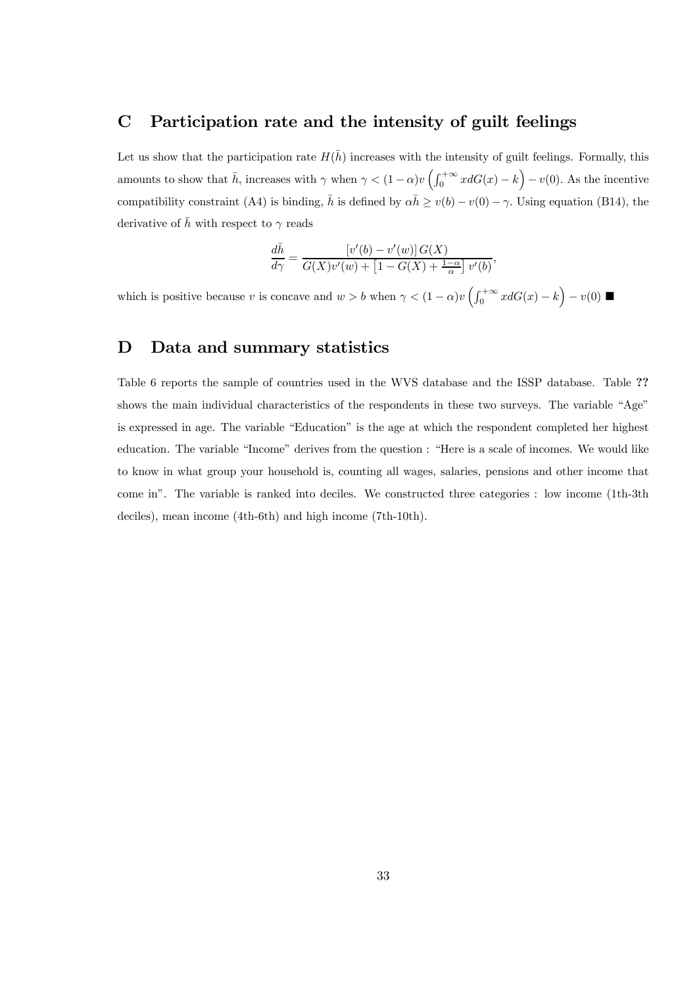# C Participation rate and the intensity of guilt feelings

Let us show that the participation rate  $H(h)$  increases with the intensity of guilt feelings. Formally, this amounts to show that  $\bar{h}$ , increases with  $\gamma$  when  $\gamma < (1 - \alpha)v \left( \int_0^{+\infty} x dG(x) - k \right) - v(0)$ . As the incentive compatibility constraint (A4) is binding,  $\bar{h}$  is defined by  $\alpha \bar{h} \ge v(b) - v(0) - \gamma$ . Using equation (B14), the derivative of  $\bar{h}$  with respect to  $\gamma$  reads

$$
\frac{d\bar{h}}{d\gamma} = \frac{\left[v'(b) - v'(w)\right]G(X)}{G(X)v'(w) + \left[1 - G(X) + \frac{1-\alpha}{\alpha}\right]v'(b)}
$$

,

which is positive because v is concave and  $w > b$  when  $\gamma < (1 - \alpha)v \left(\int_0^{+\infty} x dG(x) - k\right) - v(0)$ 

### D Data and summary statistics

Table 6 reports the sample of countries used in the WVS database and the ISSP database. Table ?? shows the main individual characteristics of the respondents in these two surveys. The variable "Age" is expressed in age. The variable "Education" is the age at which the respondent completed her highest education. The variable "Income" derives from the question : "Here is a scale of incomes. We would like to know in what group your household is, counting all wages, salaries, pensions and other income that come in". The variable is ranked into deciles. We constructed three categories : low income (1th-3th deciles), mean income (4th-6th) and high income (7th-10th).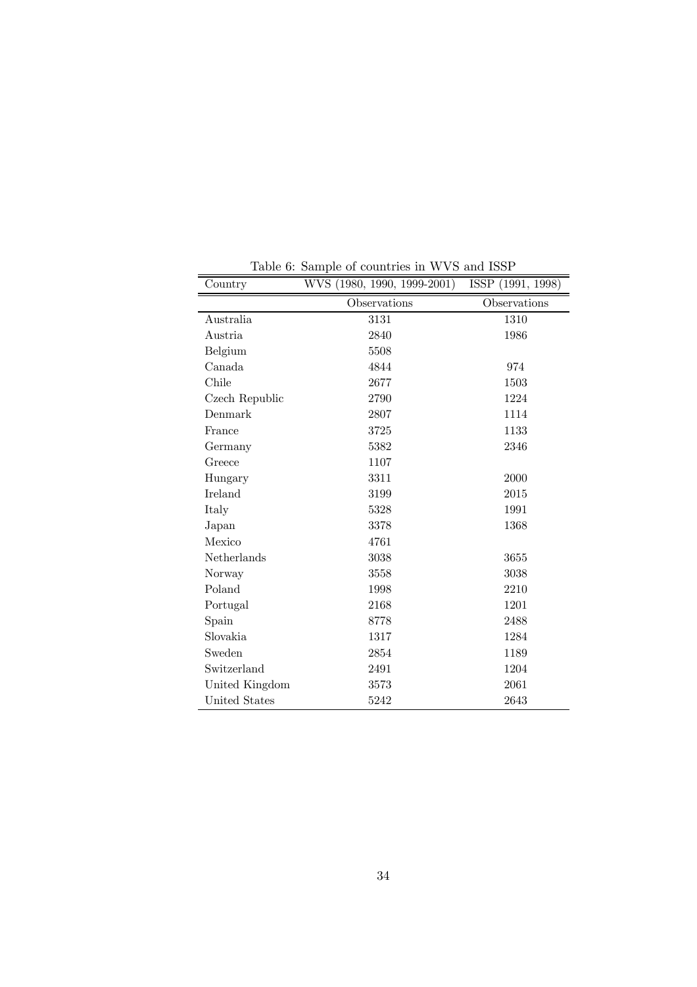| Country        | WVS (1980, 1990, 1999-2001) | ISSP (1991, 1998) |  |
|----------------|-----------------------------|-------------------|--|
|                | Observations                | Observations      |  |
| Australia      | 3131                        | 1310              |  |
| Austria        | 2840                        | 1986              |  |
| Belgium        | 5508                        |                   |  |
| Canada         | 4844                        | 974               |  |
| Chile          | 2677                        | 1503              |  |
| Czech Republic | 2790                        | 1224              |  |
| Denmark        | 2807                        | 1114              |  |
| France         | 3725                        | 1133              |  |
| Germany        | 5382                        | 2346              |  |
| Greece         | 1107                        |                   |  |
| Hungary        | 3311                        | 2000              |  |
| Ireland        | 3199                        | 2015              |  |
| Italy          | 5328                        | 1991              |  |
| Japan          | 3378                        | 1368              |  |
| Mexico         | 4761                        |                   |  |
| Netherlands    | 3038                        | 3655              |  |
| Norway         | 3558                        | 3038              |  |
| Poland         | 1998                        | 2210              |  |
| Portugal       | 2168                        | 1201              |  |
| Spain          | 8778                        | 2488              |  |
| Slovakia       | 1317                        | 1284              |  |
| Sweden         | 2854                        | 1189              |  |
| Switzerland    | 2491                        | 1204              |  |
| United Kingdom | 3573                        | 2061              |  |
| United States  | 5242                        | 2643              |  |

Table 6: Sample of countries in WVS and ISSP

L

 $\overline{a}$